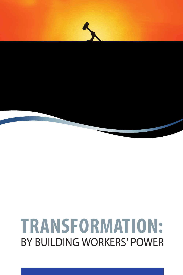# **TRANSFORMATION:** BY BUILDING WORKERS' POWER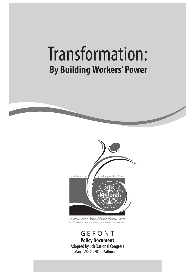# Transformation:  **By Building Workers' Power**



**September 1986** 

GEFONT **Policy Document** Adopted by 6th National Congress March 28-31, 2014; Kathmandu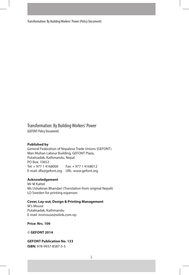Transformation: By Building Workers' Power (Policy Document)

Transformation: By Building Workers' Power

(GEFONT Policy Document)

#### **Published by**

General Federation of Nepalese Trade Unions (GEFONT) Man Mohan Labour Building, GEFONT Plaza, Putalisadak, Kathmandu, Nepal PO Box: 10652 Tel: + 977 1 4168000 Fax: + 977 1 4168012 E-mail: dfa@gefont.org URL: www.gefont.org

#### **Acknowledgement**

Mr M Kattel Ms Ushakiran Bhandari (Translation from original Nepali) LO Sweden for printing expenses

#### **Cover, Lay-out, Design & Printing Management**

M's Mouse Putalisadak, Kathmandu E-mail: msmouse@wlink.com.np

**Price: Nrs. 100**

© **GEFONT 2014**

**GEFONT Publication No. 133**

**ISBN:** 978-9937-8587-5-5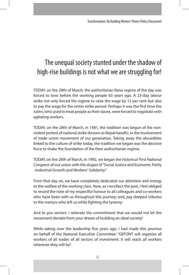## The unequal society stunted under the shadow of high-rise buildings is not what we are struggling for!

TODAY, on the 28th of March, the authoritarian Rana regime of the day was forced to bow before the working people 63 years ago. A 23-day labour strike not only forced the regime to raise the wage by 15 per cent but also to pay the wage for the entire strike period. Perhaps it was the first time the rulers, who used to treat people as their slaves, were forced to negotiate with agitating workers.

TODAY, on the 28th of March, in 1981, the tradition was begun of the nonviolent protest of national strike (known as Nepal bandh), in the involvement of trade union movement of our generation. Taking away the absurdities linked to the culture of strike today, the tradition we began was the decisive force to shake the foundation of the then authoritarian regime.

TODAY, on the 28th of March, in 1992, we began the historical 'First National Congress' of our union with the slogan of "Social Justice and Economic Parity –Industrial Growth and Workers' Solidarity".

From that day on, we have completely dedicated our attention and energy to the welfare of the working class. Now, as I recollect the past, I feel obliged to record the note of my respectful honour to all colleagues and co-workers who have been with us throughout this journey; and, pay deepest tributes to the martyrs who left us while fighting the tyranny.

And to you seniors: I reiterate the commitment that we would not let the movement deviate from your dream of building an ideal society!

While taking over the leadership five years ago, I had made this promise on behalf of the National Executive Committee: "GEFONT will organise all workers of all trades of all sectors of investment. It will reach all workers wherever they will be".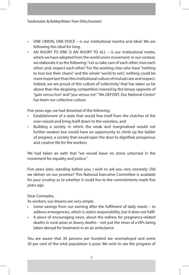- ONE UNION, ONE VOICE is our institutional mantra and ideal. We are following this ideal for long.
- AN INJURY TO ONE IS AN INJURY TO ALL is our institutional motto, which we have adopted from the world union movement. In our context, we elaborate it as the following: "Let us take care of each other; love each other; and, respect each other." For the working class who have "nothing to lose but their chains" and the whole "world to win", nothing could be more important than this institutional culture of mutual care and respect. Indeed, we are proud of this culture of 'collectivity' that has taken us far above than the despising competition marred by the binary opposite of "gain versus loss" and "you versus me". "We GEFONT, Our National Centre" has been our collective culture.

Five years ago, we had dreamed of the following:

- Establishment of a state that would free itself from the clutches of the over-voiced and bring itself down to the voiceless, and
- Building a society in which the weak and marginalised would not further weaken but would have an opportunity to climb up the ladder of progress, a society that would open the door to dignified, prosperous and creative life for the workers

We had taken an oath that "we would leave no stone unturned in the movement for equality and justice."

Five years later, standing before you, I wish to ask you very sincerely: Did we deliver on our promise? This National Executive Committee is available for your scrutiny as to whether it could live to the commitments made five years ago.

Dear Comrades,

As workers, our dreams are very simple.

- Some savings from our earning after the fulfilment of daily needs to address emergencies, which is state's responsibility, but it does not fulfil
- A piece of encouraging news, about the redress for pregnancy-related deaths in rural areas or dowry deaths – not just the news of a VIPs being taken abroad for treatment in an air ambulance

You are aware that 30 persons per hundred are unemployed and some 30 per cent of the total population is poor. We wish to see the progress of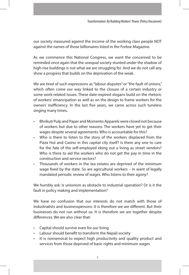our society measured against the income of the working class people NOT against the names of those billionaires listed in the Forbse Magazine.

As we commence this National Congress, we want the concerned to be reminded once again that the unequal society stunted under the shadow of high-rise buildings is not what we are struggling for. And we do not call any show a progress that builds on the deprivation of the weak.

We are tired of such expressions as "labour disputes" or "the fault of unions," which often come our way linked to the closure of a certain industry or some work-related issues. These date-expired slogans build on the rhetoric of workers' emancipation as well as on the design to frame workers for the owners' inefficiency. In the last five years, we came across such tuneless singing many times.

- Bhrikuti Pulp and Paper and Momento Apparels were closed not because of workers but due to other reasons. The workers have yet to get their wages despite several agreements. Who is accountable for this?
- Who is there to listen to the story of the workers displaced from the Pizza Hut and Casino in this capital city itself? Is there any one to care for the fate of the self-employed eking out a living as street vendors? Who is there to aid the workers who do not get the pay in time in the construction and service sectors?
- Thousands of workers in the tea estates are deprived of the minimum wage fixed by the state. So are agricultural workers – in want of legally mandated periodic review of wages. Who listens to their agony?

We humbly ask: Is unionism as obstacle to industrial operation? Or is it the fault in policy making and implementation?

We have no confusion that our interests do not match with those of industrialists and businesspersons. It is therefore we are different. But their businesses do not run without us. It is therefore we are together despite differences. We are also clear that:

- Capital should survive even for our living
- Labour should benefit to transform the Nepali society
- It is nonsensical to expect high productivity and quality product and services from those deprived of basic rights and minimum wages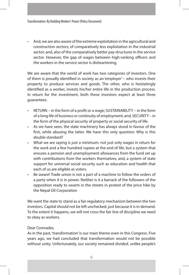• And, we are also aware of the extreme exploitation in the agricultural and construction sectors; of comparatively less exploitation in the industrial sector; and, also of the comparatively better pay structures in the service sector. However, the gap of wages between high-ranking officers and the workers in the service sector is disheartening.

We are aware that the world of work has two categories of investors. One of them is proudly identified in society as an 'employer' – who invests their property to produce services and goods. The other, who is hesitatingly identified as a worker, invests his/her entire life in the production process. In return for the investment, both these investors expect at least three guarantees.

- RETURN in the form of a profit or a wage; SUSTAINABILITY in the form of a long life of business or continuity of employment; and, SECURITY – in the form of the physical security of property or social security of life.
- As we have seen, the state machinery has always stood in favour of the first, while abusing the latter. We have this only question: Why is this double standard?
- What we are saying is just a minimum: not just only wages in return for the work and a few hundred rupees at the end of life, but a system that ensures a pension and unemployment allowances from the fund set up with contributions from the workers themselves; and, a system of state support for universal social security such as education and health that each of us are eligible as voters.
- Be aware! Trade union is not a part of a machine to follow the orders of a party when it is in power. Neither is it a barrack of the followers of the opposition ready to swarm in the streets in protest of the price hike by the Nepal Oil Corporation

We want the state to stand as a fair regulatory mechanism between the two investors. Capital should not be left unchecked, just because it is in demand. To the extent it happens, we will not cross the fair line of discipline we need to obey as workers.

#### Dear Comrades,

As in the past, 'transformation' is our main theme even in this Congress. Five years ago, we had concluded that transformation would not be possible without unity. Unfortunately, our society remained divided, unlike people's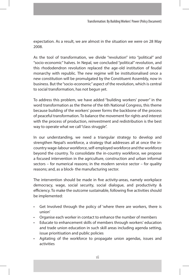expectation. As a result, we are almost in the situation we were on 28 May 2008.

As the tool of transformation, we divide "revolution" into "political" and "socio-economic" halves. In Nepal, we concluded "political" revolution, and this rhododendron revolution replaced the age-old institution of feudal monarchy with republic. The new regime will be institutionalised once a new constitution will be promulgated by the Constituent Assembly, now in business. But the "socio-economic" aspect of the revolution, which is central to social transformation, has not begun yet.

To address this problem, we have added "building workers' power" in the word transformation as the theme of the 6th National Congress, this theme because building of the workers' power forms the backbone of the process of peaceful transformation. To balance the movement for rights and interest with the process of production, reinvestment and redistribution is the best way to operate what we call "class struggle".

In our understanding, we need a triangular strategy to develop and strengthen Nepal's workforce, a strategy that addresses all at once the incountry wage-labour workforce, self-employed workforce and the workforce beyond the country. To consolidate the in-country workforce, we propose a focused intervention in the agriculture, construction and urban informal sectors – for numerical reasons; in the modern service sector – for quality reasons; and, as a block- the manufacturing sector.

The intervention should be made in five activity-areas, namely workplace democracy, wage, social security, social dialogue, and productivity & efficiency. To make the outcome sustainable, following five activities should be implemented:

- Get Involved through the policy of 'where there are workers, there is union'
- Organise each worker in contact to enhance the number of members
- Educate to enhancement skills of members through workers' education and trade union education in such skill areas including agenda setting, issue prioritisation and public policies
- Agitating of the workforce to propagate union agendas, issues and activities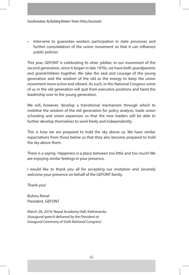• Intervene to guarantee workers participation in state processes and further consolidation of the union movement so that it can influence public policies

This year, GEFONT is celebrating its silver jubilee. In our movement of the second generation, since it began in late 1970s, we have both grandparents and grandchildren together. We take the zeal and courage of the young generation and the wisdom of the old as the energy to keep the union movement more active and vibrant. As such, in this National Congress some of us in the old generation will quit from executive positions and hand the leadership over to the young generation.

We will, however, develop a transitional mechanism through which to mobilise the wisdom of the old generation for policy analysis, trade union schooling and union expansion so that the new leaders will be able to further develop themselves to work freely and independently.

This is how we are prepared to hold the sky above us. We have similar expectations from those below us that they also become prepared to hold the sky above them.

There is a saying- Happiness is a place between too little and too much! We are enjoying similar feelings in your presence.

I would like to thank you all for accepting our invitation and sincerely welcome your presence on behalf of the GEFONT family.

Thank you!

Bishnu Rimal President, GEFONT

March 28, 2014; Nepal Academy Hall, Kathmandu *(Inaugural speech delivered by the President at Inaugural Ceremony of Sixth National Congress)*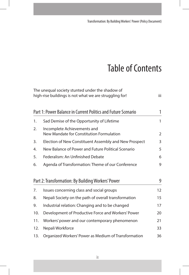## Table of Contents

|     | The unequal society stunted under the shadow of<br>high-rise buildings is not what we are struggling for! | iii |
|-----|-----------------------------------------------------------------------------------------------------------|-----|
|     | Part 1: Power Balance in Current Politics and Future Scenario                                             | 1   |
| 1.  | Sad Demise of the Opportunity of Lifetime                                                                 | 1   |
| 2.  | Incomplete Achievements and<br>New Mandate for Constitution Formulation                                   | 2   |
| 3.  | Election of New Constituent Assembly and New Prospect                                                     | 3   |
| 4.  | New Balance of Power and Future Political Scenario                                                        | 5   |
| 5.  | Federalism: An Unfinished Debate                                                                          | 6   |
| 6.  | Agenda of Transformation: Theme of our Conference                                                         | 9   |
|     | Part 2: Transformation: By Building Workers' Power                                                        | 9   |
| 7.  | Issues concerning class and social groups                                                                 | 12  |
| 8.  | Nepali Society on the path of overall transformation                                                      | 15  |
| 9.  | Industrial relation: Changing and to be changed                                                           | 17  |
| 10. | Development of Productive Force and Workers' Power                                                        | 20  |
| 11. | Workers' power and our contemporary phenomenon                                                            | 21  |
| 12. | Nepali Workforce                                                                                          | 33  |
| 13. | Organized Workers' Power as Medium of Transformation                                                      | 36  |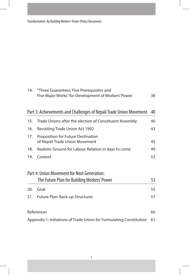Transformation: By Building Workers' Power (Policy Document)

| 14. | "Three Guarantees, Five Prerequisites and                            |    |  |  |  |  |  |
|-----|----------------------------------------------------------------------|----|--|--|--|--|--|
|     | Five Major Works" for Development of Workers' Power                  | 38 |  |  |  |  |  |
|     |                                                                      |    |  |  |  |  |  |
|     | Part 3: Achievements and Challenges of Nepali Trade Union Movement   | 40 |  |  |  |  |  |
| 15. | Trade Unions after the election of Constituent Assembly              | 40 |  |  |  |  |  |
| 16. | <b>Revisiting Trade Union Act 1992</b>                               | 43 |  |  |  |  |  |
| 17. | Proposition for Future Destination<br>of Nepali Trade Union Movement | 45 |  |  |  |  |  |
| 18. | Realistic Ground for Labour Relation in days to come                 |    |  |  |  |  |  |
| 19. | Context                                                              | 53 |  |  |  |  |  |
|     | Part 4: Union Movement for Next Generation:                          |    |  |  |  |  |  |
|     | The Future Plan for Building Workers' Power                          | 53 |  |  |  |  |  |
| 20. | Goal                                                                 | 55 |  |  |  |  |  |
| 21. | 57<br>Future Plan: Back-up Structures                                |    |  |  |  |  |  |
|     | References                                                           | 60 |  |  |  |  |  |
|     | Appendix 1: Initiations of Trade Union for Formulating Constitution  | 61 |  |  |  |  |  |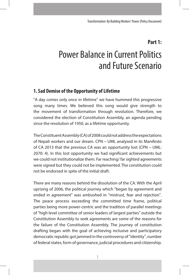#### **Part 1:**

# Power Balance in Current Politics and Future Scenario

#### **1. Sad Demise of the Opportunity of Lifetime**

"A day comes only once in lifetime" we have hummed this progressive song many times. We believed this song would give strength to the movement of transformation through revolution. Therefore, we considered the election of Constitution Assembly, an agenda pending since the revolution of 1950, as a lifetime opportunity.

The Constituent Assembly (CA) of 2008 could not address the expectations of Nepali workers and our dream. CPN – UML analysed in its Manifesto of CA 2013 that the previous CA was an opportunity lost (CPN – UML: 2070: 4). In this lost opportunity we had significant achievements but we could not institutionalize them. Far reaching/ far sighted agreements were signed but they could not be implemented. The constitution could not be endorsed in spite of the initial draft.

There are many reasons behind the dissolution of the CA. With the April uprising of 2006, the political journey which "began by agreement and ended in agreement" was ambushed in "mistrust, fear and rejection". The peace process exceeding the committed time frame, political parties being more power-centric and the tradition of parallel meetings of "high level committee of senior leaders of largest parties" outside the Constitution Assembly to seek agreements are some of the reasons for the failure of the Constitution Assembly. The journey of constitution drafting began with the goal of achieving inclusive and participatory democratic republic got jammed in the controversy of "identity", number of federal states, form of governance, judicial procedures and citizenship.

1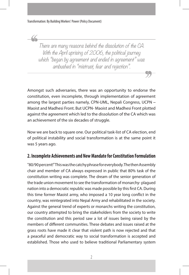There are many reasons behind the dissolution of the CA. With the April uprising of 2006, the political journey which "began by agreement and ended in agreement" was ambushed in "mistrust, fear and rejection".

Amongst such adversaries, there was an opportunity to endorse the constitution, even incomplete, through implementation of agreement among the largest parties namely, CPN-UML, Nepali Congress, UCPN – Maoist and Madhesi Front. But UCPN- Maoist and Madhesi Front plotted against the agreement which led to the dissolution of the CA which was an achievement of the six decades of struggle.

Now we are back to square one. Our political task-list of CA election, end of political instability and social transformation is at the same point it was 5 years ago.

#### **2. Incomplete Achievements and New Mandate for Constitution Formulation**

"80/90 percent!" This was the catchy phrase for everybody. The then Assembly chair and member of CA always expressed in public that 80% task of the constitution writing was complete. The dream of the senior generation of the trade union movement to see the transformation of monarchy- plagued nation into a democratic republic was made possible by this first CA. During this time former Maoist army, who imposed a 10 year long conflict in the country, was reintegrated into Nepal Army and rehabilitated in the society. Against the general trend of experts or monarchs writing the constitution, our country attempted to bring the stakeholders from the society to write the constitution and this period saw a lot of issues being raised by the members of different communities. These debates and issues raised at the grass roots have made it clear that violent path is now rejected and that a peaceful and democratic way to social transformation is accepted and established. Those who used to believe traditional Parliamentary system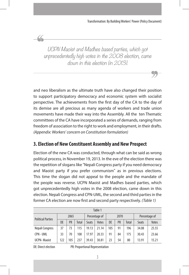UCPN Maoist and Madhes based parties, which got unprecedentedly high votes in the 2008 election, came down in this election (in 2013).

and neo liberalism as the ultimate truth have also changed their position to support participatory democracy and economic system with socialist perspective. The achievements from the first day of the CA to the day of its demise are all precious as many agenda of workers and trade union movements have made their way into the Assembly. All the ten Thematic committees of the CA have incorporated a series of demands, ranging from freedom of association to the right to work and employment, in their drafts. *(Appendix: Workers' concern on Constitution formulation)*

## **3. Election of New Constituent Assembly and New Prospect**

Election of the new CA was conducted, through what can be said as wrong political process, in November 19, 2013. In the eve of the election there was the repetition of slogans like "Nepali Congress party if you need democracy and Maoist party if you prefer communism" as in previous elections. This time the slogan did not appeal to the people and the mandate of the people was reverse. UCPN Maoist and Madhes based parties, which got unprecedentedly high votes in the 2008 election, came down in this election. Nepali Congress and CPN-UML, the second and third parties in the former CA election are now first and second party respectively. *(Table 1)*

| Table 1                  |                   |     |               |       |       |     |              |               |              |       |
|--------------------------|-------------------|-----|---------------|-------|-------|-----|--------------|---------------|--------------|-------|
| <b>Political Parties</b> | 2065              |     | Percentage of |       | 2070  |     |              | Percentage of |              |       |
|                          | PR<br>DE<br>Total |     | Seats         | Votes | DE    | PR  | <b>Total</b> | <b>Seats</b>  | <b>Votes</b> |       |
| Nepali Congress          | 37                | 73  | 115           | 19.13 | 21.14 | 105 | 91           | 196           | 34.08        | 25.55 |
| CPN - UML                | 33                | 70  | 108           | 17.97 | 20.33 | 91  | 84           | 175           | 30.43        | 23.66 |
| <b>UCPN-Maoist</b>       | 122               | 105 | 237           | 39.43 | 30.81 | 23  | 54           | 80            | 13.91        | 15.21 |

DE: Direct election PR: Proportional Representation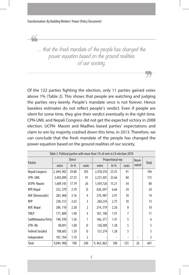$\alpha$ 

… that the fresh mandate of the people has changed the power equation based on the ground realities of our society.

Of the 122 parties fighting the election, only 11 parties gained votes above 1% (Table 2). This shows that people are watching and judging the parties very keenly. People's mandate once is not forever. Hence baseless estimates do not reflect people's verdict. Even if people are silent for some time, they give their verdict eventually in the right time. CPN-UML and Nepali Congress did not get the expected victory in 2008 election. UCPN- Maoist and Madhes based parties' expectations and claim to win by majority crashed down this time, in 2013. Therefore, we can conclude that the fresh mandate of the people has changed the power equation based on the ground realities of our society.

| Table 2: Political parties with more than 1% of vote in CA election 2070 |               |        |                |                  |        |                |       |                |
|--------------------------------------------------------------------------|---------------|--------|----------------|------------------|--------|----------------|-------|----------------|
| Parties                                                                  | <b>Direct</b> |        |                | Proportional rep |        |                | Nomi- | Total          |
|                                                                          | votes         | $ln\%$ | seats          | votes            | $ln\%$ | seats          | nated |                |
| Nepali Congress                                                          | 2,694,983     | 29.80  | 105            | 2,418,370        | 25.55  | 91             |       | 196            |
| <b>CPN-UML</b>                                                           | 2,492,090     | 27.55  | 91             | 2,231,301        | 23.66  | 84             |       | 175            |
| <b>UCPN-Maoist</b>                                                       | 1,609,145     | 17.79  | 26             | 1,439,726        | 15.21  | 54             |       | 80             |
| RPP, Nepal                                                               | 252, 579      | 2.79   | $\Omega$       | 630, 697         | 6.66   | 24             |       | 24             |
| MJF (Democratic)                                                         | 283, 468      | 3.16   | 4              | 274,987          | 2.91   | 10             |       | 14             |
| <b>RPP</b>                                                               | 238, 313      | 2.63   | 3              | 260,234          | 2.75   | 10             |       | 13             |
| MJF, Nepal                                                               | 206, 110      | 2.28   | $\mathfrak{I}$ | 214, 319         | 2.26   | 8              |       | 10             |
| <b>TMLP</b>                                                              | 171,889       | 1.90   | 4              | 181, 140         | 1.91   | $\overline{7}$ |       | 11             |
| Sadhbhawana Party                                                        | 140,930       | 1.56   | 1              | 166, 271         | 1.41   | 5              |       | 6              |
| CPN-ML                                                                   | 98,091        | 1.08   | $\Omega$       | 130,300          | 1.38   | 5              |       | 5              |
| <b>Federal Socialist</b>                                                 | 108,683       | 1.20   | 0              | 121,274          | 1.28   | 5              |       | 5              |
| Independent                                                              | 107,764       | 1.19   | 2              |                  |        |                |       | $\overline{2}$ |
| Total                                                                    | 9,044,908     | 100    | 240            | 9,463,862        | 100    | 335            | 26    | 601            |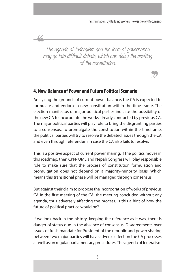The agenda of federalism and the form of governance may go into difficult debate, which can delay the drafting of the constitution.

### **4. New Balance of Power and Future Political Scenario**

Analyzing the grounds of current power balance, the CA is expected to formulate and endorse a new constitution within the time frame. The election manifestos of major political parties indicate the possibility of the new CA to incorporate the works already conducted by previous CA. The major political parties will play role to bring the disgruntling parties to a consensus. To promulgate the constitution within the timeframe, the political parties will try to resolve the debated issues through the CA and even through referendum in case the CA also fails to resolve.

This is a positive aspect of current power sharing. If the politics moves in this roadmap, then CPN- UML and Nepali Congress will play responsible role to make sure that the process of constitution formulation and promulgation does not depend on a majority-minority basis. Which means this transitional phase will be managed through consensus.

But against their claim to propose the incorporation of works of previous CA in the first meeting of the CA, the meeting concluded without any agenda, thus adversely affecting the process. Is this a hint of how the future of political practice would be?

If we look back in the history, keeping the reference as it was, there is danger of status quo in the absence of consensus. Disagreements over issues of fresh mandate for President of the republic and power sharing between two major parties will have adverse effect on the CA processes as well as on regular parliamentary procedures. The agenda of federalism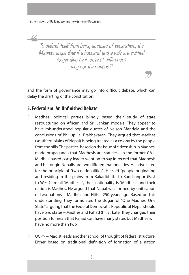To defend itself from being accused of separatism, the Maoists argue that if a husband and a wife are entitled to get divorce in case of differences why not the nations?

and the form of governance may go into difficult debate, which can delay the drafting of the constitution.

#### **5. Federalism: An Unfinished Debate**

- i) Madhesi political parties blindly based their study of state restructuring on African and Sri Lankan models. They appear to have misunderstood popular quotes of Nelson Mandela and the conclusions of Bhillupillai Prabhakaran. They argued that Madhes (southern plains of Nepal) is being treated as a colony by the people from the hills. The parties, based on the issue of citizenship in Madhes, made propaganda that Madhesis are stateless. In the former CA a Madhes based party leader went on to say in record that Madhesis and hill-origin Nepalis are two different nationalities. He advocated for the principle of "two nationalities". He said "people originating and residing in the plains from Kakadbhitta to Kanchanpur (East to West) are all 'Madhesis', their nationality is 'Madhesi' and their nation is Madhes. He argued that Nepal was formed by unification of two nations – Madhes and Hills - 250 years ago. Based on this understanding, they formulated the slogan of "One Madhes, One State" arguing that the Federal Democratic Republic of Nepal should have two states – Madhes and Pahad (hills). Later they changed their position to mean that Pahad can have many states but Madhes will have no more than two.
- ii) UCPN Maoist leads another school of thought of federal structure. Either based on traditional definition of formation of a nation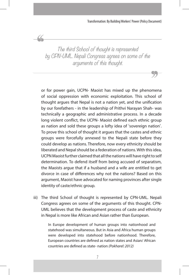The third School of thought is represented by CPN-UML. Nepali Congress agrees on some of the arguments of this thought.

44

or for power gain, UCPN- Maoist has mixed up the phenomena of social oppression with economic exploitation. This school of thought argues that Nepal is not a nation yet, and the unification by our forefathers - in the leadership of Prithvi Narayan Shah- was technically a geographic and administrative process. In a decade long violent conflict, the UCPN- Maoist defined each ethnic group as nation and sold these groups a lofty idea of 'sovereign nation'. To prove this school of thought it argues that the castes and ethnic groups were forcefully annexed to the Nepali state before they could develop as nations. Therefore, now every ethnicity should be liberated and Nepal should be a federation of nations. With this idea, UCPN Maoist further claimed that all the nations will have right to self determination. To defend itself from being accused of separatism, the Maoists argue that if a husband and a wife are entitled to get divorce in case of differences why not the nations? Based on this argument, Maoist have advocated for naming provinces after single identity of caste/ethnic group.

iii) The third School of thought is represented by CPN-UML. Nepali Congress agrees on some of the arguments of this thought. CPN-UML believes that the development process of caste and ethnicity in Nepal is more like African and Asian rather than European.

> In Europe development of human groups into nationhood and statehood was simultaneous. But in Asia and Africa human groups were developed into statehood before nationhood. Therefore, European countries are defined as nation states and Asian/ African countries are defined as state- nation *(Pokharel: 2012)*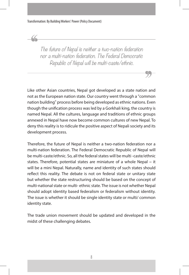The future of Nepal is neither a two-nation federation nor a multi-nation federation. The Federal Democratic Republic of Nepal will be multi-caste/ethnic.

Like other Asian countries, Nepal got developed as a state nation and not as the European nation state. Our country went through a "common nation building" process before being developed as ethnic nations. Even though the unification process was led by a Gorkhali king, the country is named Nepal. All the cultures, language and traditions of ethnic groups annexed in Nepal have now become common cultures of new Nepal. To deny this reality is to ridicule the positive aspect of Nepali society and its development process.

Therefore, the future of Nepal is neither a two-nation federation nor a multi-nation federation. The Federal Democratic Republic of Nepal will be multi-caste/ethnic. So, all the federal states will be multi -caste/ethnic states. Therefore, potential states are miniature of a whole Nepal – it will be a mini Nepal. Naturally, name and identity of such states should reflect this reality. The debate is not on federal state or unitary state but whether the state restructuring should be based on the concept of multi-national state or multi- ethnic state. The issue is not whether Nepal should adopt identity based federalism or federalism without identity. The issue is whether it should be single identity state or multi/ common identity state.

The trade union movement should be updated and developed in the midst of these challenging debates.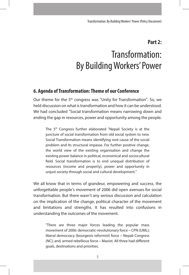#### **Part 2:**

# Transformation: By Building Workers' Power

#### **6. Agenda of Transformation: Theme of our Conference**

Our theme for the 5<sup>th</sup> congress was "Unity for Transformation". So, we held discussion on what is transformation and how it can be understood. We had concluded "Social transformation means narrowing down and ending the gap in resources, power and opportunity among the people.

The 5<sup>th</sup> Congress further elaborated "Nepali Society is at the juncture of social transformation from old social system to new. Social Transformation means identifying root cause of the social problem and its structural impasse. For further positive change, the world view of the existing organisation and change the existing power balance in political, economical and sociocultural field. Social transformation is to end unequal distribution of resources (income and property), power and opportunity in unjust society through social and cultural development."

We all know that in terms of grandeur, empowering and success, the unforgettable people's movement of 2006 did open avenues for social transformation. But there wasn't any serious discussion and calculation on the implication of the change, political character of the movement and limitations and strengths. It has resulted into confusions in understanding the outcomes of the movement.

"There are three major forces leading the popular mass movement of 2006: democratic-revolutionary force – CPN (UML); liberal democracy (bourgeois reformist) force – Nepali Congress (NC); and, armed rebellious force – Maoist. All three had different goals, destinations and priorities.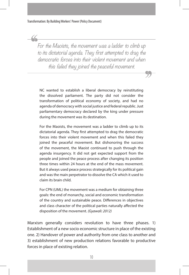$\alpha$ 

For the Maoists, the movement was a ladder to climb up to its dictatorial agenda. They first attempted to drag the democratic forces into their violent movement and when this failed they joined the peaceful movement.

NC wanted to establish a liberal democracy by reinstituting the dissolved parliament. The party did not consider the transformation of political economy of society, and had no agenda of democracy with social justice and federal republic. Just parliamentary democracy declared by the king under pressure during the movement was its destination.

For the Maoists, the movement was a ladder to climb up to its dictatorial agenda. They first attempted to drag the democratic forces into their violent movement and when this failed they joined the peaceful movement. But dishonoring the success of the movement, the Maoist continued to push through the agenda insurgency. It did not get expected support from the people and joined the peace process after changing its position three times within 24 hours at the end of the mass movement. But it always used peace process strategically for its political gain and was the main perpetrator to dissolve the CA which it used to claim its brain child.

For CPN (UML) the movement was a medium for obtaining three goals: the end of monarchy, social and economic transformation of the country and sustainable peace. Differences in objectives and class character of the political parties naturally affected the disposition of the movement. *(Gyawali: 2012)* 

Marxism generally considers revolution to have three phases. 1) Establishment of a new socio economic structure in place of the existing one. 2) Handover of power and authority from one class to another and 3) establishment of new production relations favorable to productive forces in place of existing relation.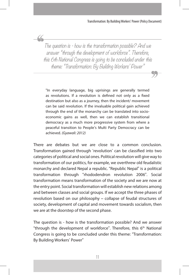The question is - how is the transformation possible? And we answer "through the development of workforce". Therefore, this 6th National Congress is going to be concluded under this theme: "Transformation: By Building Workers' Power"

"In everyday language, big uprisings are generally termed as revolutions. If a revolution is defined not only as a fixed destination but also as a journey, then the incident/ movement can be said revolution. If the invaluable political gain achieved through the end of the monarchy can be translated into socioeconomic gains as well, then we can establish transitional democracy as a much more progressive system from where a peaceful transition to People's Multi Party Democracy can be achieved. *(Gyawali: 2012)*

There are debates but we are close to a common conclusion. Transformation gained through 'revolution' can be classified into two categories of political and social ones. Political revolution will give way to transformation of our politics, for example, we overthrew old feudalistic monarchy and declared Nepal a republic. "Republic Nepal" is a political transformation through "rhododendron revolution 2006". Social transformation means transformation of the society and we are now at the entry point. Social transformation will establish new relations among and between classes and social groups. If we accept the three phases of revolution based on our philosophy – collapse of feudal structures of society, development of capital and movement towards socialism, then we are at the doorstep of the second phase.

The question is - how is the transformation possible? And we answer "through the development of workforce". Therefore, this 6<sup>th</sup> National Congress is going to be concluded under this theme: "Transformation: By Building Workers' Power"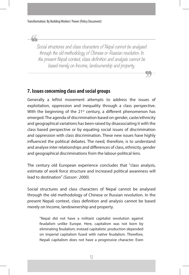Social structures and class characters of Nepal cannot be analysed through the old methodology of Chinese or Russian revolution. In the present Nepali context, class definition and analysis cannot be based merely on Income, landownership and property.

#### **7. Issues concerning class and social groups**

Generally a leftist movement attempts to address the issues of exploitation, oppression and inequality through a class perspective. With the beginning of the  $21<sup>st</sup>$  century, a different phenomenon has emerged. The agenda of discrimination based on gender, caste/ethnicity and geographical variations has been raised by disassociating it with the class based perspective or by equating social issues of discrimination and oppression with class discrimination. These new issues have highly influenced the political debates. The need, therefore, is to understand and analyse inter relationships and differences of class, ethnicity, gender and geographical discriminations from the labour-political lens.

The century old European experience concludes that "class analysis, estimate of work force structure and increased political awareness will lead to destination" *(Sasson : 2000).* 

Social structures and class characters of Nepal cannot be analysed through the old methodology of Chinese or Russian revolution. In the present Nepali context, class definition and analysis cannot be based merely on Income, landownership and property.

"Nepal did not have a militant capitalist revolution against feudalism unlike Europe. Here, capitalism was not born by eliminating feudalism; instead capitalistic production depended on imperial capitalism fused with native feudalism. Therefore, Nepali capitalism does not have a progressive character. Even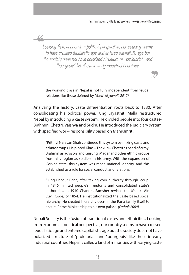Looking from economic – political perspective, our country seems to have crossed feudalistic age and entered capitalistic age but the society does not have polarized structure of "proletariat" and "bourgeois" like those in early industrial countries.

the working class in Nepal is not fully independent from feudal relations like those defined by Marx" *(Gyawali: 2012).* 

Analysing the history, caste differentiation roots back to 1380. After consolidating his political power, King Jayasthiti Malla restructured Nepal by introducing a caste system. He divided people into four castes-Brahmin, Chettri, Vaishya and Sudra. He introduced the judiciary system with specified work- responsibility based on Manusmriti.

"Prithivi Narayan Shah continued this system by mixing caste and ethnic groups. He placed Khas – Thakuri – Chettri as head of army; Brahmin as advisors and Gurung, Magar and other ethnic groups from hilly region as soldiers in his army. With the expansion of Gorkha state, this system was made national identity, and this established as a rule for social conduct and relations.

"Jung Bhadur Rana, after taking over authority through 'coup' in 1846, limited people's freedoms and consolidated state's authorities. In 1910 Chandra Samsher revised the Muluki Ain (Civil Code) of 1854. He institutionalized the caste based social hierarchy. He created hierarchy even in the Rana family itself to ensure Prime Ministership to his own palace. *(Dahal: 2009)*

Nepali Society is the fusion of traditional castes and ethnicities. Looking from economic – political perspective, our country seems to have crossed feudalistic age and entered capitalistic age but the society does not have polarized structure of "proletariat" and "bourgeois" like those in early industrial countries. Nepal is called a land of minorities with varying caste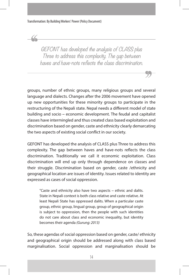GEFONT has developed the analysis of CLASS plus Three to address this complexity. The gap between haves and have-nots reflects the class discrimination.

groups, number of ethnic groups, many religious groups and several language and dialects. Changes after the 2006 movement have opened up new opportunities for these minority groups to participate in the restructuring of the Nepali state. Nepal needs a different model of state building and socio – economic development. The feudal and capitalist classes have intermingled and thus created class based exploitation and discrimination based on gender, caste and ethnicity clearly demarcating the two aspects of existing social conflict in our society.

GEFONT has developed the analysis of CLASS plus Three to address this complexity. The gap between haves and have-nots reflects the class discrimination. Traditionally we call it economic exploitation. Class discrimination will end up only through dependence on classes and their struggle. Discrimination based on gender, caste /ethnicity and geographical location are issues of identity. Issues related to identity are expressed as cases of social oppression.

"Caste and ethnicity also have two aspects – ethnic and dalits. State in Nepali context is both class relative and caste relative. At least Nepali State has oppressed dalits. When a particular caste group, ethnic group, lingual group, group of geographical origin is subject to oppression, then the people with such identities do not care about class and economic inequality, but identity becomes their agenda *(Gurung: 2013)*

So, these agendas of social oppression based on gender, caste/ ethnicity and geographical origin should be addressed along with class based marginalisation. Social oppression and marginalisation should be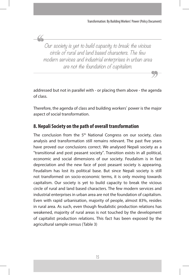Our society is yet to build capacity to break the vicious circle of rural and land based characters. The few modern services and industrial enterprises in urban area are not the foundation of capitalism.

 $\alpha$ 

addressed but not in parallel with - or placing them above - the agenda of class.

Therefore, the agenda of class and building workers' power is the major aspect of social transformation.

## **8. Nepali Society on the path of overall transformation**

The conclusion from the 5<sup>th</sup> National Congress on our society, class analysis and transformation still remains relevant. The past five years have proved our conclusions correct. We analysed Nepali society as a "transitional and post peasant society". Transition exists in all political, economic and social dimensions of our society. Feudalism is in fast depreciation and the new face of post peasant society is appearing. Feudalism has lost its political base. But since Nepali society is still not transformed on socio-economic terms, it is only moving towards capitalism. Our society is yet to build capacity to break the vicious circle of rural and land based characters. The few modern services and industrial enterprises in urban area are not the foundation of capitalism. Even with rapid urbanisation, majority of people, almost 83%, resides in rural area. As such, even though feudalistic production relations has weakened, majority of rural areas is not touched by the development of capitalist production relations. This fact has been exposed by the agricultural sample census (Table 3)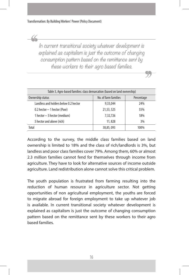In current transitional society whatever development is explained as capitalism is just the outcome of changing consumption pattern based on the remittance sent by these workers to their agro based families.

| Table 3, Agro-based families: class demarcation (based on land ownership) |                      |            |  |  |
|---------------------------------------------------------------------------|----------------------|------------|--|--|
| Ownership status                                                          | No. of farm families | Percentage |  |  |
| Landless and holders below 0.2 hector                                     | 9,33,044             | 24%        |  |  |
| 0.2 hector - 1 hector (Poor)                                              | 21,53,525            | 55%        |  |  |
| 1 hector – 5 hector (medium)                                              | 7,32,726             | 18%        |  |  |
| 5 hector and above (rich)                                                 | 11,828               | 3%         |  |  |
| Total                                                                     | 38,85,093            | 100%       |  |  |

According to the survey, the middle class families based on land ownership is limited to 18% and the class of rich/landlords is 3%, but landless and poor class families cover 79%. Among them, 60% or almost 2.3 million families cannot fend for themselves through income from agriculture. They have to look for alternative sources of income outside agriculture. Land redistribution alone cannot solve this critical problem.

The youth population is frustrated from farming resulting into the reduction of human resource in agriculture sector. Not getting opportunities of non agricultural employment, the youths are forced to migrate abroad for foreign employment to take up whatever job is available. In current transitional society whatever development is explained as capitalism is just the outcome of changing consumption pattern based on the remittance sent by these workers to their agro based families.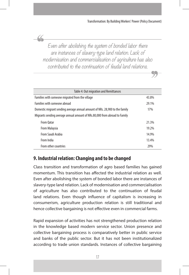Even after abolishing the system of bonded labor there are instances of slavery-type land relation. Lack of modernisation and commercialisation of agriculture has also contributed to the continuation of feudal land relations.

<u>CC</u>

| Table 4: Out migration and Remittances                                             |       |  |  |  |
|------------------------------------------------------------------------------------|-------|--|--|--|
| Families with someone migrated from the village<br>43.8%                           |       |  |  |  |
| <b>Families with someone abroad</b>                                                | 29.1% |  |  |  |
| Domestic migrant sending average annual amount of NRs. 28,900 to the family<br>17% |       |  |  |  |
| Migrants sending average annual amount of NRs.80,000 from abroad to Family         |       |  |  |  |
| From Oatar                                                                         | 21.3% |  |  |  |
| From Malaysia                                                                      | 19.2% |  |  |  |
| From Saudi Arabia                                                                  | 14.9% |  |  |  |
| From India                                                                         | 13.4% |  |  |  |
| From other countries                                                               | 29%   |  |  |  |

### **9. Industrial relation: Changing and to be changed**

Class transition and transformation of agro based families has gained momentum. This transition has affected the industrial relation as well. Even after abolishing the system of bonded labor there are instances of slavery-type land relation. Lack of modernisation and commercialisation of agriculture has also contributed to the continuation of feudal land relations. Even though influence of capitalism is increasing in consumerism, agriculture production relation is still traditional and hence collective bargaining is not effective even in commercial farms.

Rapid expansion of activities has not strengthened production relation in the knowledge based modern service sector. Union presence and collective bargaining process is comparatively better in public service and banks of the public sector. But it has not been institutionalized according to trade union standards. Instances of collective bargaining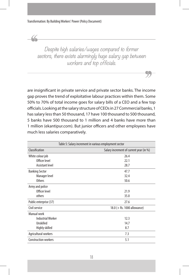$\alpha$ 

Despite high salaries/wages compared to former sectors, there exists alarmingly huge salary gap between workers and top officials.

are insignificant in private service and private sector banks. The income gap proves the trend of exploitative labour practices within them. Some 50% to 70% of total income goes for salary bills of a CEO and a few top officials. Looking at the salary structure of CEOs in 27 Commercial banks, 1 has salary less than 50 thousand, 17 have 100 thousand to 500 thousand, 5 banks have 500 thousand to 1 million and 4 banks have more than 1 million (ekantipur.com). But junior officers and other employees have much less salaries comparatively.

| Table 5: Salary increment in various employment sector |                                         |  |  |  |
|--------------------------------------------------------|-----------------------------------------|--|--|--|
| Classification                                         | Salary increment of current year (in %) |  |  |  |
| White colour job                                       | 26.4                                    |  |  |  |
| Officer level                                          | 22.1                                    |  |  |  |
| Assistant level                                        | 28.7                                    |  |  |  |
| <b>Banking Sector</b>                                  | 47.7                                    |  |  |  |
| Manager level                                          | 32.4                                    |  |  |  |
| <b>Others</b>                                          | 50.6                                    |  |  |  |
| Army and police                                        |                                         |  |  |  |
| Officer level                                          | 21.9                                    |  |  |  |
| others                                                 | 35.0                                    |  |  |  |
| Public enterprise (37)                                 | 27.6                                    |  |  |  |
| Civil service                                          | 18.0 ( $+$ Rs. 1000 allowance)          |  |  |  |
| Manual work                                            |                                         |  |  |  |
| <b>Industrial Worker</b>                               | 12.3                                    |  |  |  |
| Unskilled                                              | 14.7                                    |  |  |  |
| Highly skilled                                         | 8.7                                     |  |  |  |
| Agricultural workers                                   | 7.3                                     |  |  |  |
| <b>Construction workers</b>                            | 5.1                                     |  |  |  |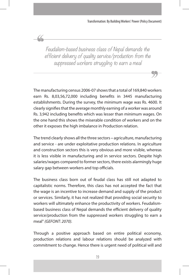Feudalism-based business class of Nepal demands the efficient delivery of quality service/production from the suppressed workers struggling to earn a meal

The manufacturing census 2006-07 shows that a total of 169,840 workers earn Rs. 8,03,56,72,000 including benefits in 3445 manufacturing establishments. During the survey, the minimum wage was Rs. 4600. It clearly signifies that the average monthly earning of a worker was around Rs. 3,942 including benefits which was lesser than minimum wages. On the one hand this shows the miserable condition of workers and on the other it exposes the high imbalance in Production relation.

The trend clearly shows all the three sectors – agriculture, manufacturing and service - are under exploitative production relations. In agriculture and construction sectors this is very obvious and more visible, whereas it is less visible in manufacturing and in service sectors. Despite high salaries/wages compared to former sectors, there exists alarmingly huge salary gap between workers and top officials.

The business class born out of feudal class has still not adapted to capitalistic norms. Therefore, this class has not accepted the fact that the wage is an incentive to increase demand and supply of the product or services. Similarly, it has not realized that providing social security to workers will ultimately enhance the productivity of workers. Feudalismbased business class of Nepal demands the efficient delivery of quality service/production from the suppressed workers struggling to earn a meal" *(GEFONT: 2070).*

Through a positive approach based on entire political economy, production relations and labour relations should be analyzed with commitment to change. Hence there is urgent need of political will and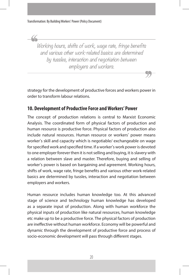Working hours, shifts of work, wage rate, fringe benefits and various other work-related basics are determined by tussles, interaction and negotiation between employers and workers.

strategy for the development of productive forces and workers power in order to transform labour relations.

#### **10. Development of Productive Force and Workers' Power**

The concept of production relations is central to Marxist Economic Analysis. The coordinated form of physical factors of production and human resource is productive force. Physical factors of production also include natural resources. Human resource or workers' power means worker's skill and capacity which is negotiable/ exchangeable on wage for specified work and specified time. If a worker's work power is devoted to one employer forever then it is not selling and buying, it is slavery with a relation between slave and master. Therefore, buying and selling of worker's power is based on bargaining and agreement. Working hours, shifts of work, wage rate, fringe benefits and various other work-related basics are determined by tussles, interaction and negotiation between employers and workers.

Human resource includes human knowledge too. At this advanced stage of science and technology human knowledge has developed as a separate input of production. Along with human workforce the physical inputs of production like natural resources, human knowledge etc make up to be a productive force. The physical factors of production are ineffective without human workforce. Economy will be powerful and dynamic through the development of productive force and process of socio-economic development will pass through different stages.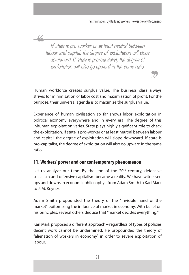If state is pro-worker or at least neutral between labour and capital, the degree of exploitation will slope downward. If state is pro-capitalist, the degree of exploitation will also go upward in the same ratio.

Human workforce creates surplus value. The business class always strives for minimisation of labor cost and maximisation of profit. For the purpose, their universal agenda is to maximize the surplus value.

Experience of human civilisation so far shows labor exploitation in political economy everywhere and in every era. The degree of this inhuman exploitation varies. State plays highly significant role to check the exploitation. If state is pro-worker or at least neutral between labour and capital, the degree of exploitation will slope downward. If state is pro-capitalist, the degree of exploitation will also go upward in the same ratio.

#### **11. Workers' power and our contemporary phenomenon**

Let us analyze our time. By the end of the  $20<sup>th</sup>$  century, defensive socialism and offensive capitalism became a reality. We have witnessed ups and downs in economic philosophy - from Adam Smith to Karl Marx to J. M. Keynes.

Adam Smith propounded the theory of the "Invisible hand of the market" epitomizing the influence of market in economy. With belief on his principles, several others deduce that "market decides everything."

Karl Mark proposed a different approach – regardless of types of policies decent work cannot be undermined. He propounded the theory of "alienation of workers in economy" in order to severe exploitation of labour.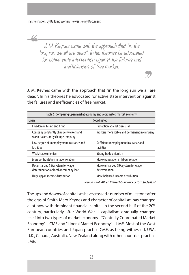J. M. Keynes came with the approach that "in the long run we all are dead". In his theories he advocated for active state intervention against the failures and inefficiencies of free market.

J. M. Keynes came with the approach that "in the long run we all are dead". In his theories he advocated for active state intervention against the failures and inefficiencies of free market.

| Table 6: Comparing Open market economy and coordinated market economy         |                                                       |  |  |  |
|-------------------------------------------------------------------------------|-------------------------------------------------------|--|--|--|
| <b>Open</b>                                                                   | Coordinated                                           |  |  |  |
| Freedom in hiring and firing                                                  | Protection against dismissal                          |  |  |  |
| Company constantly changes workers and<br>workers constantly change company   | Workers more stable and permanent in company          |  |  |  |
| Low degree of unemployment insurance and<br>facilities                        | Sufficient unemployment insurance and<br>facilities   |  |  |  |
| Weak trade unionism                                                           | Strong trade unionism                                 |  |  |  |
| More confrontation in labor relation                                          | More cooperation in labour relation                   |  |  |  |
| Decentralized CBA system for wage<br>determination(at local or company level) | More centralized CBA system for wage<br>determination |  |  |  |
| Huge gap in income distribution                                               | More balanced income distribution                     |  |  |  |

*Source: Prof. Alfred Klenecht - www.eci.tbm.tudelft.nl*

The ups and downs of capitalism have crossed a number of milestone after the eras of Smith-Marx-Keynes and character of capitalism has changed a lot now with dominant financial capital. In the second half of the 20<sup>th</sup> century, particularly after World War II, capitalism gradually changed itself into two types of market economy - "Centrally Coordinated Market Economy" – CME and "Liberal Market Economy" – LME. Most of the West European countries and Japan practice CME, as being witnessed, USA, U.K., Canada, Australia, New Zealand along with other countries practice LME.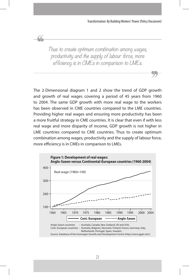Thus to create optimum combination among wages, productivity and the supply of labour force, more efficiency is in CMEs in comparison to LMEs.

The 2-Dimensional diagram 1 and 2 show the trend of GDP growth and growth of real wages covering a period of 45 years from 1960 to 2004. The same GDP growth with more real wage to the workers has been observed in CME countries compared to the LME countries. Providing higher real wages and ensuring more productivity has been a more fruitful strategy in CME countries. It is clear that even if with less real wage and more disparity of income, GDP growth is not higher in LME countries compared to CME countries. Thus to create optimum combination among wages, productivity and the supply of labour force, more efficiency is in CMEs in comparison to LMEs.

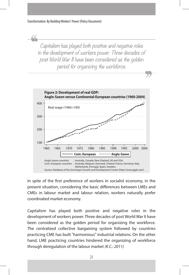Capitalism has played both positive and negative roles in the development of workers power. Three decades of post World War II have been considered as the golden period for organizing the workforce.



In spite of the first preference of workers in socialist economy, in the present situation, considering the basic differences between LMEs and CMEs in labour market and labour relation, workers naturally prefer coordinated market economy.

Capitalism has played both positive and negative roles in the development of workers power. Three decades of post World War II have been considered as the golden period for organizing the workforce. The centralized collective bargaining system followed by countries practicing CME has built "harmonious" industrial relations. On the other hand, LME practicing countries hindered the organizing of workforce through deregulation of the labour market *(K.C.: 2011)*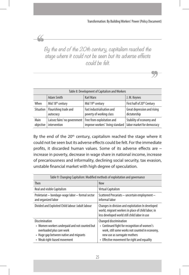By the end of the 20th century, capitalism reached the stage where it could not be seen but its adverse effects could be felt.

 $\overline{\mathcal{L}}$ 

| Table 8: Development of Capitalism and Workers |                                                                                       |                                                               |                                             |  |  |  |
|------------------------------------------------|---------------------------------------------------------------------------------------|---------------------------------------------------------------|---------------------------------------------|--|--|--|
|                                                | Adam Smith                                                                            | <b>Karl Marx</b>                                              | J. M. Keynes                                |  |  |  |
| When                                           | Mid 18 <sup>th</sup> century                                                          | Mid 19 <sup>th</sup> century                                  | First half of 20 <sup>th</sup> Century      |  |  |  |
|                                                | Situation   Flourishing trade and<br>autocracy                                        | Fast industrialisation and<br>poverty of working class        | Great depression and rising<br>dictatorship |  |  |  |
| Main                                           | Laissez faire/ no government   Free from exploitation and<br>objective   intervention | improve workers' living standard   labor market for democracy | Stability of economy and                    |  |  |  |

By the end of the 20<sup>th</sup> century, capitalism reached the stage where it could not be seen but its adverse effects could be felt. For the immediate profits, it discarded human values. Some of its adverse effects are – increase in poverty, decrease in wage share in national income, increase of precariousness and informality, declining social security, tax evasion, unstable financial market with high degree of speculation.

| Table 9: Changing Capitalism: Modified methods of exploitation and governance                                                                                         |                                                                                                                                                                                                         |  |  |  |
|-----------------------------------------------------------------------------------------------------------------------------------------------------------------------|---------------------------------------------------------------------------------------------------------------------------------------------------------------------------------------------------------|--|--|--|
| <b>Then</b>                                                                                                                                                           | <b>Now</b>                                                                                                                                                                                              |  |  |  |
| Real and visible Capitalism                                                                                                                                           | <b>Virtual Capitalism</b>                                                                                                                                                                               |  |  |  |
| Proletariat - bondage-wage labor - formal sector<br>and organized labor                                                                                               | Scattered Precariats - uncertain employment -<br>informal labor                                                                                                                                         |  |  |  |
| Divided and Exploited Child labour /adult labour                                                                                                                      | Changes in division and exploitation In developed<br>world, migrant workers in place of child labor; in<br>less developed world still child labor in use                                                |  |  |  |
| Discrimination<br>• Women workers underpaid and not counted but<br>overloaded plus care work<br>• Huge gap between native and migrants<br>• Weak right-based movement | Changed discrimination<br>• Continued fight for recognition of women's<br>work, still some works not counted in economy,<br>new use as surrogate mothers<br>• Effective movement for right and equality |  |  |  |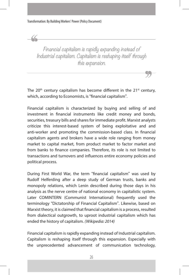Financial capitalism is rapidly expanding instead of Industrial capitalism. Capitalism is reshaping itself through this expansion.

The  $20<sup>th</sup>$  century capitalism has become different in the  $21<sup>st</sup>$  century, which, according to Economists, is "financial capitalism".

Financial capitalism is characterized by buying and selling of and investment in financial instruments like credit money and bonds, securities, treasury bills and shares for immediate profit. Marxist analysts criticize this interest-based system of being exploitative and and anti-worker and promoting the commission-based class. In financial capitalism agents and brokers have a wide role ranging from money market to capital market, from product market to factor market and from banks to finance companies. Therefore, its role is not limited to transactions and turnovers and influences entire economy policies and political process.

During First World War, the term "financial capitalism" was used by Rudolf Helferding after a deep study of German trusts, banks and monopoly relations, which Lenin described during those days in his analysis as the nerve centre of national economy in capitalistic system. Later COMINTERN (Communist International) frequently used the terminology "Dictatorship of Financial Capitalism". Likewise, based on Marxist theory, it is claimed that financial capitalism is a process, resulted from dialectical outgrowth, to uproot industrial capitalism which has ended the history of capitalism. *(Wikipedia: 2014)* 

Financial capitalism is rapidly expanding instead of Industrial capitalism. Capitalism is reshaping itself through this expansion. Especially with the unprecedented advancement of communication technology,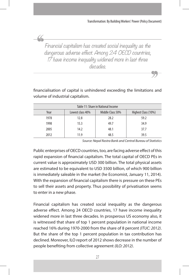Financial capitalism has created social inequality as the dangerous adverse effect. Among 24 OECD countries, 17 have income inequality widened more in last three decades.

financialisation of capital is unhindered exceeding the limitations and volume of industrial capitalism.

| Table 11: Share in National Income |                  |                  |                     |  |  |
|------------------------------------|------------------|------------------|---------------------|--|--|
| Year                               | Lowest class 40% | Middle Class 50% | Highest Class (10%) |  |  |
| 1978                               | 12.8             | 28.2             | 59.2                |  |  |
| 1998                               | 15.3             | 49.7             | 34.9                |  |  |
| 2005                               | 14.2             | 48.1             | 37.7                |  |  |
| 2012                               | 11.9             | 48.5             | 39.5                |  |  |

*Source: Nepal Rastra Bank and Central Bureau of Statistics*

Public enterprises of OECD countries, too, are facing adverse effect of this rapid expansion of financial capitalism. The total capital of OECD PEs in current value is approximately USD 300 billion. The total physical assets are estimated to be equivalent to USD 3500 billion, of which 900 billion is immediately saleable in the market (he Economist, January 11, 2014). With the expansion of financial capitalism there is pressure on these PEs to sell their assets and property. Thus possibility of privatisation seems to enter in a new phase.

Financial capitalism has created social inequality as the dangerous adverse effect. Among 24 OECD countries, 17 have income inequality widened more in last three decades. In prosperous US economy also, it is witnessed that share of top 1 percent population in national income reached 16% during 1970-2000 from the share of 8 percent *(ITUC: 2012)*. But the share of the top 1 percent population in tax contribution has declined. Moreover, ILO report of 2012 shows decrease in the number of people benefiting from collective agreement *(ILO: 2012)*.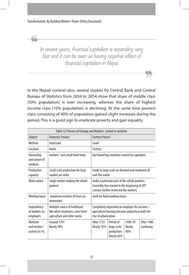$\alpha$ 

In recent years, financial capitalism is expanding very fast and it can be seen as having negative effect of financial capitalism in Nepal.

In the Nepali context also, several studies by Central Bank and Central Bureau of Statistics from 2034 to 2054 show that share of middle class (50% population) is ever increasing, whereas the share of highest income class (10% population) is declining. At the same time poorest class consisting of 40% of population gained slight increases during the period. This is a good sign to eradicate poverty and gain equality.

| Table 12: Process of Change and Workers' control in worksite |                                                                                                 |                                                                                                                                                      |                                                      |                                 |                         |
|--------------------------------------------------------------|-------------------------------------------------------------------------------------------------|------------------------------------------------------------------------------------------------------------------------------------------------------|------------------------------------------------------|---------------------------------|-------------------------|
| Subject                                                      | <b>Domestic Process</b>                                                                         | <b>Factory Process</b>                                                                                                                               |                                                      |                                 |                         |
| Method                                                       | Hand tool                                                                                       | small                                                                                                                                                |                                                      |                                 |                         |
| Location                                                     | home                                                                                            | Factory                                                                                                                                              |                                                      |                                 |                         |
| Ownership<br>and nature of<br>medium                         | workers' own small hand tools                                                                   | fuel based big machines owned by capitalists                                                                                                         |                                                      |                                 |                         |
| Production<br>capacity                                       | small scale production for local<br>market per order                                            | made in large scale on demand and marketed all<br>over the world                                                                                     |                                                      |                                 |                         |
| Work nature                                                  | single worker making the whole<br>product                                                       | make a particular part of the whole product;<br>Assembly line started in the beginning of 20 <sup>th</sup><br>century further restricted the workers |                                                      |                                 |                         |
| <b>Working hours</b>                                         | maximum number of hours as<br>demanded                                                          | work for fixed working hours                                                                                                                         |                                                      |                                 |                         |
| Dependency<br>of workers on<br>employers                     | Multiple source of livelihood<br>like other employers, own farm/<br>agriculture and other works | Completely depended on employer for income -<br>agriculture/farming became impractical with the<br>rise of urbanisation                              |                                                      |                                 |                         |
| Worksite<br>and workers'<br>control (in %)                   | Around 1701<br>Nearly 90%                                                                       | <b>After 1735</b><br>Nearly 70%                                                                                                                      | Period of<br>large scale<br>production<br>Nearly 60% | 1908-70<br><b>Nearly</b><br>40% | After 1980<br>Confusing |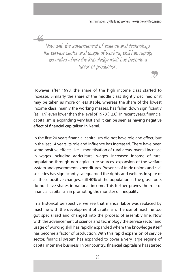Now with the advancement of science and technology the service sector and usage of working skill has rapidly expanded where the knowledge itself has become a factor of production.

However after 1998, the share of the high income class started to increase. Similarly the share of the middle class slightly declined or it may be taken as more or less stable, whereas the share of the lowest income class, mainly the working masses, has fallen down significantly (at 11.9) even lower than the level of 1978 (12.8). In recent years, financial capitalism is expanding very fast and it can be seen as having negative effect of financial capitalism in Nepal.

In the first 20 years financial capitalism did not have role and effect, but in the last 14 years its role and influence has increased. There have been some positive effects like – monetisation of rural areas, overall increase in wages including agricultural wages, increased income of rural population through non agriculture sources, expansion of the welfare system and government expenditures. Presence of trade unions and civil societies has significantly safeguarded the rights and welfare. In spite of all these positive changes, still 40% of the population at the grass roots do not have shares in national income. This further proves the role of financial capitalism in promoting the monster of inequality.

In a historical perspective, we see that manual labor was replaced by machine with the development of capitalism. The use of machine too got specialized and changed into the process of assembly line. Now with the advancement of science and technology the service sector and usage of working skill has rapidly expanded where the knowledge itself has become a factor of production. With this rapid expansion of service sector, financial system has expanded to cover a very large regime of capital intensive business. In our country, financial capitalism has started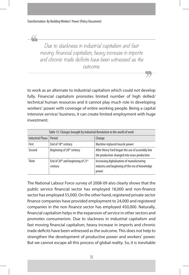Due to slackness in industrial capitalism and fast moving financial capitalism, heavy increase in imports and chronic trade deficits have been witnessed as the outcome.

to work as an alternate to industrial capitalism which could not develop fully. Financial capitalism promotes limited number of high skilled/ technical human resources and it cannot play much role in developing workers' power with coverage of entire working people. Being a capital intensive service/ business, it can create limited employment with huge investment.

| Table 13: Changes brought by Industrial Revolution in the world of work |                                                                      |                                                                                                       |  |  |
|-------------------------------------------------------------------------|----------------------------------------------------------------------|-------------------------------------------------------------------------------------------------------|--|--|
| <b>Industrial Phase</b>                                                 | Period                                                               | Change                                                                                                |  |  |
| First                                                                   | End of 18 <sup>th</sup> century                                      | Machine replaced muscle power                                                                         |  |  |
| Second                                                                  | Beginning of 20 <sup>th</sup> century                                | After Henry Ford began the use of assembly line<br>the production changed into mass production        |  |  |
| <b>Third</b>                                                            | End of 20 <sup>th</sup> and beginning of 21 <sup>st</sup><br>century | Increasing digitalisation of manufacturing<br>industry and beginning of the era of knowledge<br>power |  |  |

The National Labour Force survey of 2008-09 also clearly shows that the public service financial sector has employed 18,000 and non-finance sector has employed 55,000. On the other hand, registered private sector finance companies have provided employment to 24,000 and registered companies in the non finance sector has employed 450,000. Naturally, financial capitalism helps in the expansion of service in other sectors and promotes consumerism. Due to slackness in industrial capitalism and fast moving financial capitalism, heavy increase in imports and chronic trade deficits have been witnessed as the outcome. This does not help to strengthen the development of productive power and workers' power. But we cannot escape all this process of global reality. So, it is inevitable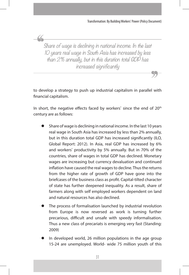Share of wage is declining in national income. In the last 10 years real wage in South Asia has increased by less than 2% annually, but in this duration total GDP has increased significantly

to develop a strategy to push up industrial capitalism in parallel with financial capitalism.

In short, the negative effects faced by workers' since the end of 20<sup>th</sup> century are as follows:

- Share of wage is declining in national income. In the last 10 years real wage in South Asia has increased by less than 2% annually, but in this duration total GDP has increased significantly (ILO, Global Report: 2012). In Asia, real GDP has increased by 6% and workers' productivity by 5% annually. But in 70% of the countries, share of wages in total GDP has declined. Monetary wages are increasing but currency devaluation and continued inflation have caused the real wages to decline. Thus the returns from the higher rate of growth of GDP have gone into the briefcases of the business class as profit. Capital-tilted character of state has further deepened inequality. As a result, share of farmers along with self employed workers dependent on land and natural resources has also declined.
- The process of formalisation launched by industrial revolution from Europe is now reversed as work is turning further precarious, difficult and unsafe with speedy informalisation. Thus a new class of precariats is emerging very fast (Standing: 2009)
- In developed world, 26 million populations in the age group 15-24 are unemployed. World- wide 75 million youth of this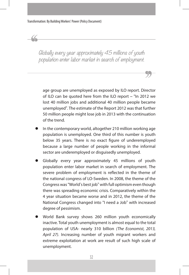Globally every year approximately 45 millions of youth population enter labor market in search of employment.

age group are unemployed as exposed by ILO report. Director of ILO can be quoted here from the ILO report – "In 2012 we lost 40 million jobs and additional 40 million people became unemployed". The estimate of the Report 2012 was that further 50 million people might lose job in 2013 with the continuation of the trend.

- In the contemporary world, altogether 210 million working age population is unemployed. One third of this number is youth below 35 years. There is no exact figure of underemployed because a large number of people working in the informal sector are underemployed or disguisedly unemployed.
- Globally every year approximately 45 millions of youth population enter labor market in search of employment. The severe problem of employment is reflected in the theme of the national congress of LO-Sweden. In 2008, the theme of the Congress was "World's best job" with full optimism even though there was spreading economic crisis. Comparatively within the 4 year situation became worse and in 2012, the theme of the National Congress changed into "I need a Job" with increased degree of pessimism.
- World Bank survey shows 260 million youth economically inactive. Total youth unemployment is almost equal to the total population of USA- nearly 310 billion *(The Economist, 2013, April 27)*. Increasing number of youth migrant workers and extreme exploitation at work are result of such high scale of unemployment.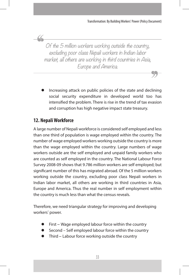Of the 5 million workers working outside the country, excluding poor class Nepali workers in Indian labor market, all others are working in third countries in Asia, Europe and America.

Increasing attack on public policies of the state and declining social security expenditure in developed world too has intensified the problem. There is rise in the trend of tax evasion and corruption has high negative impact state treasury.

# **12. Nepali Workforce**

 $\alpha$ 

A large number of Nepali workforce is considered self employed and less than one third of population is wage employed within the country. The number of wage employed workers working outside the country is more than the wage employed within the country. Large numbers of wage workers outside are the self employed and unpaid family workers who are counted as self employed in the country. The National Labour Force Survey 2008-09 shows that 9.786 million workers are self employed; but significant number of this has migrated abroad. Of the 5 million workers working outside the country, excluding poor class Nepali workers in Indian labor market, all others are working in third countries in Asia, Europe and America. Thus the real number in self employment within the country is much less than what the census reveals.

Therefore, we need triangular strategy for improving and developing workers' power.

- First Wage employed labour force within the country
- Second Self employed labour force within the country
- Third Labour force working outside the country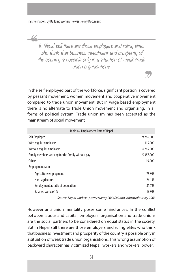In Nepal still there are those employers and ruling elites who think that business investment and prosperity of the country is possible only in a situation of weak trade union organisations.

In the self employed part of the workforce, significant portion is covered by peasant movement, women movement and cooperative movement compared to trade union movement. But in wage based employment there is no alternate to Trade Union movement and organizing. In all forms of political system, Trade unionism has been accepted as the mainstream of social movement

| Table 14: Employment Data of Nepal                |           |  |  |
|---------------------------------------------------|-----------|--|--|
| Self Employed                                     | 9,786,000 |  |  |
| With regular employers                            | 115,000   |  |  |
| Without regular employers                         | 4,265,000 |  |  |
| Family members working for the family without pay | 5,387,000 |  |  |
| <b>Others</b>                                     | 19,000    |  |  |
| <b>Employment ratio</b>                           |           |  |  |
| Agriculture employment                            | 73.9%     |  |  |
| Non-agriculture                                   | 26.1%     |  |  |
| Employment as ratio of population                 | 81.7%     |  |  |
| Salaried workers' %                               | 16.9%     |  |  |

*Source: Nepal workers' power survey 2064/65 and Industrial survey 2063*

However anti union mentality poses some hindrances. In the conflict between labour and capital, employers' organisation and trade unions are the social partners to be considered on equal status in the society. But in Nepal still there are those employers and ruling elites who think that business investment and prosperity of the country is possible only in a situation of weak trade union organisations. This wrong assumption of backward character has victimized Nepali workers and workers' power.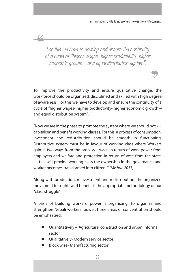For this we have to develop and ensure the continuity of a cycle of "higher wages- higher productivity- higher economic growth – and equal distribution system".

To improve the productivity and ensure qualitative change, the workforce should be organized, disciplined and skilled with high degree of awareness. For this we have to develop and ensure the continuity of a cycle of "higher wages- higher productivity- higher economic growth – and equal distribution system".

"Now we are in the phase to promote the system where we should not kill capitalism and benefit working classes. For this, a process of consumption, investment and redistribution should be smooth in functioning. Distributive system must be in favour of working class where Workers gain in two ways from the process – wags in return of work power from employers and welfare and protection in return of vote from the state. … this will provide working class the ownership in the governance and worker becomes transformed into citizen. " *(Mishra: 2013)*

Along with production, reinvestment and redistribution, the organized movement for rights and benefit is the appropriate methodology of our "class struggle".

A basis of building workers' power is organizing. To organize and strengthen Nepali workers' power, three areas of concentration should be emphasized:

- Quantitatively Agriculture, construction and urban informal sector
- Qualitatively- Modern service sector
- Block wise- Manufacturing sector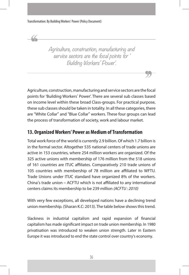Agriculture, construction, manufacturing and service sectors are the focal points for ' Building Workers' Power'.

Agriculture, construction, manufacturing and service sectors are the focal points for 'Building Workers' Power'. There are several sub classes based on income level within these broad Class-groups. For practical purpose, these sub classes should be taken in totality. In all these categories, there are "White Collar" and "Blue Collar" workers. These four groups can lead the process of transformation of society, work and labour market.

### **13. Organized Workers' Power as Medium of Transformation**

Total work force of the world is currently 2.9 billion. Of which 1.7 billion is in the formal sector. Altogether 535 national centers of trade unions are active in 153 countries, where 254 million workers are organized. Of the 325 active unions with membership of 176 million from the 518 unions of 161 countries are ITUC affiliates. Comparatively 210 trade unions of 105 countries with membership of 78 million are affiliated to WFTU. Trade Unions under ITUC standard have organized 8% of the workers. China's trade union – ACFTU which is not affiliated to any international centers claims its membership to be 239 million *(ACFTU : 2010)*

With very few exceptions, all developed nations have a declining trend union membership. (Sharan K.C: 2013). The table below shows this trend.

Slackness in industrial capitalism and rapid expansion of financial capitalism has made significant impact on trade union membership. In 1980 privatisation was introduced to weaken union strength. Later in Eastern Europe it was introduced to end the state control over country's economy.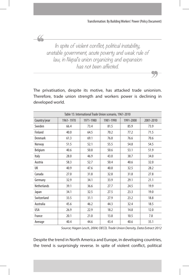In spite of violent conflict, political instability, unstable government, acute poverty and weak rule of law, in Nepal's union organizing and expansion has not been affected.

 $\alpha$ 

The privatisation, despite its motive, has attacked trade unionism. Therefore, trade union strength and workers power is declining in developed world.

| Table 15: International Trade Union scenario, 1961-2010 |           |           |           |           |           |
|---------------------------------------------------------|-----------|-----------|-----------|-----------|-----------|
| Country/year                                            | 1961-1970 | 1971-1980 | 1981-1990 | 1991-2000 | 2001-2010 |
| Sweden                                                  | 66.4      | 73.4      | 81.5      | 85.9      | 73.9      |
| Finland                                                 | 40.0      | 64.5      | 70.2      | 77.2      | 71.5      |
| Denmark                                                 | 61.3      | 69.1      | 76.8      | 76.6      | 70.6      |
| Norway                                                  | 51.5      | 52.1      | 55.5      | 54.8      | 54.5      |
| Belgium                                                 | 40.6      | 50.8      | 50.6      | 53.1      | 51.9      |
| Italy                                                   | 28.0      | 46.9      | 43.0      | 38.7      | 34.0      |
| Austria                                                 | 58.3      | 52.7      | 50.4      | 40.6      | 32.0      |
| UK                                                      | 40.9      | 47.6      | 40.8      | 32.5      | 28.2      |
| Canada                                                  | 27.0      | 31.8      | 32.8      | 31.8      | 27.8      |
| Germany                                                 | 32.9      | 34.1      | 33.9      | 29.1      | 21.1      |
| <b>Netherlands</b>                                      | 39.1      | 36.6      | 27.7      | 24.5      | 19.9      |
| Japan                                                   | 34.1      | 32.5      | 27.5      | 23.3      | 19.0      |
| Switzerland                                             | 33.5      | 31.1      | 27.9      | 23.2      | 18.8      |
| Australia                                               | 45.6      | 46.2      | 44.3      | 32.4      | 18.5      |
| <b>USA</b>                                              | 26.9      | 22.9      | 18.2      | 14.8      | 12.0      |
| France                                                  | 20.1      | 21.0      | 13.8      | 10.5      | 7.8       |
| Average                                                 | 40.4      | 44.6      | 43.4      | 40.6      | 35.1      |

*Source; Hagen Lesch, 2004; OECD, Trade Union Density, Data Extract 2012*

Despite the trend in North America and Europe, in developing countries, the trend is surprisingly reverse. In spite of violent conflict, political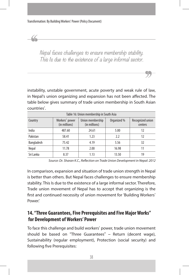Nepal faces challenges to ensure membership stability. This Is due to the existence of a large informal sector.

instability, unstable government, acute poverty and weak rule of law, in Nepal's union organizing and expansion has not been affected. The table below gives summary of trade union membership in South Asian countries'.

| Table 16: Union membership in South Asia |                                 |                                   |             |                             |  |
|------------------------------------------|---------------------------------|-----------------------------------|-------------|-----------------------------|--|
| Country                                  | Workers' power<br>(in millions) | Union membership<br>(in millions) | Organized % | Recognized union<br>centers |  |
| India                                    | 487.60                          | 24.61                             | 5.00        | 12                          |  |
| Pakistan                                 | 58.41                           | 1.23                              | 2.2         | 12                          |  |
| Bangladesh                               | 75.42                           | 4.19                              | 5.56        | 32                          |  |
| Nepal                                    | 11.78                           | 2.00                              | 16.98       |                             |  |
| Sri Lanka                                | 8.37                            | 1.13                              | 13.50       | 19                          |  |

*Source: Dr. Sharan K.C., Reflection on Trade Union Development in Nepal: 2012*

In comparison, expansion and situation of trade union strength in Nepal is better than others. But Nepal faces challenges to ensure membership stability. This Is due to the existence of a large informal sector. Therefore, Trade union movement of Nepal has to accept that organizing is the first and continued necessity of union movement for 'Building Workers' Power.'

### **14. "Three Guarantees, Five Prerequisites and Five Major Works" for Development of Workers' Power**

To face this challenge and build workers' power, trade union movement should be based on "Three Guarantees" – Return (decent wage), Sustainability (regular employment), Protection (social security) and following five Prerequisites: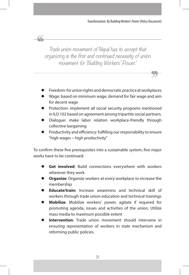Trade union movement of Nepal has to accept that organizing is the first and continued necessity of union movement for 'Building Workers' Power.'

 $\alpha$ 

- Freedom: for union rights and democratic practice at workplaces
- Wage: based on minimum wage, demand for fair wage and aim for decent wage
- Protection: implement all social security programs mentioned in ILO 102 based on agreement among tripartite social partners.
- Dialogue: make labor relation workplace-friendly through collective bargaining
- Productivity and efficiency: fulfilling our responsibility to ensure "high wages – high productivity"

To confirm these five prerequisites into a sustainable system, five major works have to be continued:

- Get involved: Build connections everywhere with workers wherever they work
- Organize: Organize workers at every workplace to increase the membership
- **Educate/train:** Increase awareness and technical skill of workers through trade union education and technical trainings
- Mobilize: Mobilize workers' power, agitate if required for promoting agenda, issues and activities of the union. Utilize mass media to maximum possible extent
- **Intervention**: Trade union movement should intervene in ensuring representation of workers in state mechanism and reforming public policies.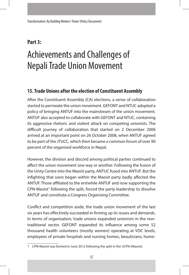# **Part 3:**

# Achievements and Challenges of Nepali Trade Union Movement

### **15. Trade Unions after the election of Constituent Assembly**

After the Constituent Assembly (CA) elections, a sense of collaboration started to permeate the union movement. GEFONT and NTUC adopted a policy of bringing ANTUF into the mainstream of the union movement. ANTUF also accepted to collaborate with GEFONT and NTUC, containing its aggressive rhetoric and violent attack on competing unionists. The difficult journey of collaboration that started on 2 December 2006 arrived at an important point on 26 October 2008, when ANTUF agreed to be part of the JTUCC, which then became a common forum of over 90 percent of the organised workforce in Nepal.

However, the division and discord among political parties continued to affect the union movement one way or another. Following the fusion of the Unity Centre into the Maoist party, ANTUC fused into ANTUF. But the infighting that soon began within the Maoist party badly affected the ANTUF. Those affiliated to the erstwhile ANTUF and now supporting the  $CPN$ -Maoist<sup>1</sup> following the split, forced the party leadership to dissolve ANTUF and constitute a Congress Organising Committee.

Conflict and competition aside, the trade union movement of the last six years has effectively succeeded in firming up its issues and demands. In terms of organisation, trade unions expanded unionism in the nontraditional sector. GEFONT expanded its influence among some 52 thousand health volunteers (mostly women) operating at VDC levels, employees of private hospitals and nursing homes, beauticians, home-

<sup>1</sup> CPN-Maoist was formed in June 2012 following the split in the UCPN (Maoist).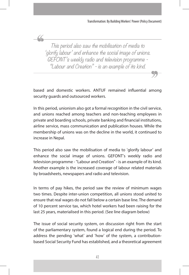This period also saw the mobilisation of media to 'glorify labour' and enhance the social image of unions. GEFONT's weekly radio and television programme - "Labour and Creation" - is an example of its kind.

based and domestic workers. ANTUF remained influential among security guards and outsourced workers.

In this period, unionism also got a formal recognition in the civil service, and unions reached among teachers and non-teaching employees in private and boarding schools, private banking and financial institutions, airline service, mass communication and publication houses. While the membership of unions was on the decline in the world, it continued to increase in Nepal.

This period also saw the mobilisation of media to 'glorify labour' and enhance the social image of unions. GEFONT's weekly radio and television programme - "Labour and Creation" - is an example of its kind. Another example is the increased coverage of labour related materials by broadsheets, newspapers and radio and television.

In terms of pay hikes, the period saw the review of minimum wages two times. Despite inter-union competition, all unions stood united to ensure that real wages do not fall below a certain base line. The demand of 10 percent service tax, which hotel workers had been raising for the last 25 years, materialised in this period. (See line diagram below)

The issue of social security system, on discussion right from the start of the parliamentary system, found a logical end during the period. To address the pending 'what' and 'how' of the system, a contributionbased Social Security Fund has established, and a theoretical agreement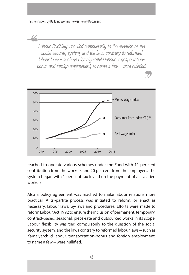Labour flexibility was tied compulsorily to the question of the social security system, and the laws contrary to reformed labour laws – such as Kamaiya/child labour, transportationbonus and foreign employment, to name a few – were nullified.



reached to operate various schemes under the Fund with 11 per cent contribution from the workers and 20 per cent from the employers. The system began with 1 per cent tax levied on the payment of all salaried workers.

Also a policy agreement was reached to make labour relations more practical. A tri-partite process was initiated to reform, or enact as necessary, labour laws, by-laws and procedures. Efforts were made to reform Labour Act 1992 to ensure the inclusion of permanent, temporary, contract-based, seasonal, piece-rate and outsourced works in its scope. Labour flexibility was tied compulsorily to the question of the social security system, and the laws contrary to reformed labour laws – such as Kamaiya/child labour, transportation-bonus and foreign employment, to name a few – were nullified.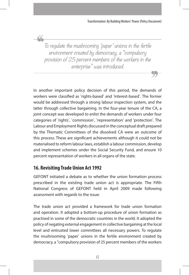To regulate the mushrooming 'paper' unions in the fertile environment created by democracy, a "compulsory provision of 25 percent members of the workers in the enterprise" was introduced.

In another important policy decision of this period, the demands of workers were classified as 'rights-based' and 'interest-based'. The former would be addressed through a strong labour inspection system, and the latter through collective bargaining. In the four-year tenure of the CA, a joint concept was developed to enlist the demands of workers under four categories of 'rights', 'commission', 'representation' and 'protection'. The Labour and Employment Rights discussed in the conceptual draft prepared by the Thematic Committees of the dissolved CA were an outcome of this process. These are significant achievements although it could not be materialised to reform labour laws, establish a labour commission, develop and implement schemes under the Social Security Fund, and ensure 10 percent representation of workers in all organs of the state.

# **16. Revisiting Trade Union Act 1992**

GEFONT initiated a debate as to whether the union formation process prescribed in the existing trade union act is appropriate. The Fifth National Congress of GEFONT held in April 2009 made following assessment with regards to the issue:

The trade union act provided a framework for trade union formation and operation. It adopted a bottom-up procedure of union formation as practised in some of the democratic countries in the world. It adopted the policy of negating external engagement in collective bargaining at the local level and entrusted lower committees all necessary powers. To regulate the mushrooming 'paper' unions in the fertile environment created by democracy, a "compulsory provision of 25 percent members of the workers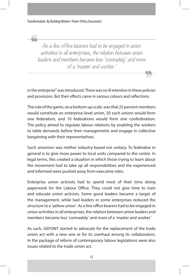As a few office bearers had to be engaged in union activities in all enterprises, the relation between union leaders and members became less 'comradely' and more of a 'master and worker.'

in the enterprise" was introduced. There was no ill intention in these policies and provisions. But their effects came in various colours and reflections.

The rule of the game, on a bottom-up scale, was that 25 percent members would constitute an enterprise-level union, 50 such unions would form one federation, and 10 federations would form one confederation. The policy aimed to regulate labour relations by enabling the workers to table demands before their managements and engage in collective bargaining with their representatives.

Such unionism was neither industry-based nor unitary. To federalise in general is to give more power to local units compared to the centre. In legal terms, this created a situation in which those trying to learn about the movement had to take up all responsibilities and the experienced and informed were pushed away from executive roles.

Enterprise union activists had to spend most of their time doing paperwork for the Labour Office. They could not give time to train and educate union activists. Some good leaders became a target of the management, while bad leaders in some enterprises reduced the structure to a 'yellow union'. As a few office bearers had to be engaged in union activities in all enterprises, the relation between union leaders and members became less 'comradely' and more of a 'master and worker.'

As such, GEFONT started to advocate for the replacement of the trade union act with a new one or for its overhaul among its collaborators. In the package of reform of contemporary labour legislations were also issues related to the trade union act.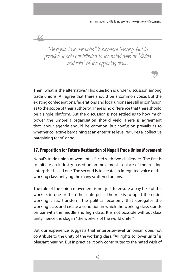"All rights to lower units" is pleasant hearing. But in practice, it only contributed to the hated wish of "divide and rule" of the opposing class.

 $\alpha$ 

Then, what is the alternative? This question is under discussion among trade unions. All agree that there should be a common voice. But the existing confederations, federations and local unions are still in confusion as to the scope of their authority. There is no difference that there should be a single platform. But the discussion is not settled as to how much power the umbrella organisation should yield. There is agreement that labour agenda should be common. But confusion prevails as to whether collective bargaining at an enterprise level requires a 'collective bargaining team' or no.

## **17. Proposition for Future Destination of Nepali Trade Union Movement**

Nepal's trade union movement is faced with two challenges. The first is to initiate an industry-based union movement in place of the existing enterprise-based one. The second is to create an integrated voice of the working class unifying the many scattered unions.

The role of the union movement is not just to ensure a pay hike of the workers in one or the other enterprise. The role is to uplift the entire working class, transform the political economy that derogates the working class and create a condition in which the working class stands on par with the middle and high class. It is not possible without class unity, hence the slogan "the workers of the world unite."

But our experience suggests that enterprise-level unionism does not contribute to the unity of the working class. "All rights to lower units" is pleasant hearing. But in practice, it only contributed to the hated wish of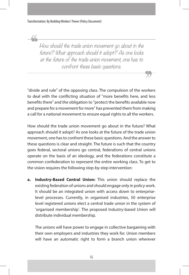How should the trade union movement go about in the future? What approach should it adopt? As one looks at the future of the trade union movement, one has to confront these basic questions.

"divide and rule" of the opposing class. The compulsion of the workers to deal with the conflicting situation of "more benefits here, and less benefits there" and the obligation to "protect the benefits available now and prepare for a movement for more" has prevented them from making a call for a national movement to ensure equal rights to all the workers.

How should the trade union movement go about in the future? What approach should it adopt? As one looks at the future of the trade union movement, one has to confront these basic questions. And the answer to these questions is clear and straight. The future is such that the country goes federal, sectoral unions go central, federations of central unions operate on the basis of an ideology, and the federations constitute a common confederation to represent the entire working class. To get to the vision requires the following step-by-step intervention:

**a. Industry-Based Central Union:** This union should replace the existing federation of unions and should engage only in policy work. It should be an integrated union with access down to enterpriselevel processes. Currently, in organised industries, 50 enterprise level registered unions elect a central trade union in the system of 'organised membership'. The proposed Industry-based Union will distribute individual membership.

The unions will have power to engage in collective bargaining with their own employers and industries they work for. Union members will have an automatic right to form a branch union wherever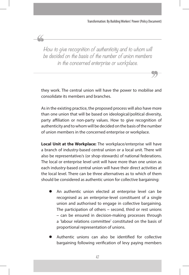How to give recognition of authenticity and to whom will be decided on the basis of the number of union members in the concerned enterprise or workplace.

they work. The central union will have the power to mobilise and consolidate its members and branches.

As in the existing practice, the proposed process will also have more than one union that will be based on ideological/political diversity, party affiliation or non-party values. How to give recognition of authenticity and to whom will be decided on the basis of the number of union members in the concerned enterprise or workplace.

**Local Unit at the Workplace:** The workplace/enterprise will have a branch of industry-based central union or a local unit. There will also be representative/s (or shop-stewards) of national federations. The local or enterprise level unit will have more than one union as each industry-based central union will have their direct activities at the local level. There can be three alternatives as to which of them should be considered as authentic union for collective bargaining:

- An authentic union elected at enterprise level can be recognised as an enterprise-level constituent of a single union and authorised to engage in collective bargaining. The participation of others – second, third or rest unions – can be ensured in decision-making processes through a 'labour relations committee' constituted on the basis of proportional representation of unions.
- Authentic unions can also be identified for collective bargaining following verification of levy paying members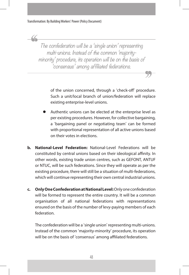The confederation will be a 'single union' representing multi-unions. Instead of the common 'majorityminority' procedure, its operation will be on the basis of 'consensus' among affiliated federations.

> of the union concerned, through a 'check-off' procedure. Such a unit/local branch of union/federation will replace existing enterprise-level unions.

- Authentic unions can be elected at the enterprise level as per existing procedures. However, for collective bargaining, a 'bargaining panel or negotiating team' can be formed with proportional representation of all active unions based on their votes in elections.
- **b. National-Level Federation:** National-Level Federations will be constituted by central unions based on their ideological affinity. In other words, existing trade union centres, such as GEFONT, ANTUF or NTUC, will be such federations. Since they will operate as per the existing procedure, there will still be a situation of multi-federations, which will continue representing their own central industrial unions.
- **c. Only One Confederation at National Level:** Only one confederation will be formed to represent the entire country. It will be a common organisation of all national federations with representations ensured on the basis of the number of levy-paying members of each federation.

The confederation will be a 'single union' representing multi-unions. Instead of the common 'majority-minority' procedure, its operation will be on the basis of 'consensus' among affiliated federations.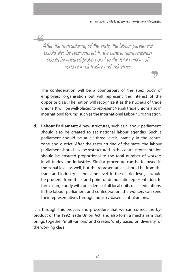After the restructuring of the state, the labour parliament should also be restructured. In the centre, representation should be ensured proportional to the total number of workers in all trades and industries.

The confederation will be a counterpart of the apex body of employers 'organisation but will represent the interest of the opposite class. The nation will recognize it as the nucleus of trade unions. It will be well-placed to represent Nepali trade unions also in international forums, such as the International Labour Organisation.

**d. Labour Parliament:** A new structures, such as a labour parliament, should also be created to set national labour agendas. Such a parliament should be at all three levels, namely in the centre, zone and district. After the restructuring of the state, the labour parliament should also be restructured. In the centre, representation should be ensured proportional to the total number of workers in all trades and industries. Similar procedure can be followed in the zonal level as well, but the representatives should be from the trade and industry at the same level. In the district level, it would be prudent, from the stand point of democratic representation, to form a large body with presidents of all local units of all federations. In the labour parliament and confederation, the workers can send their representatives through industry-based central unions.

It is through this process and procedure that we can correct the byproduct of the 1992 Trade Union Act, and also form a mechanism that brings together 'multi-unions' and creates 'unity based on diversity' of the working class.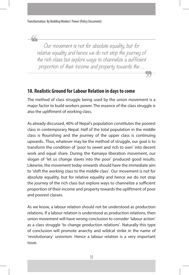Our movement is not for absolute equality, but for relative equality and hence we do not stop the journey of the rich class but explore ways to channelize a sufficient proportion of their income and property towards the …

#### **18. Realistic Ground for Labour Relation in days to come**

The method of class struggle being used by the union movement is a major factor to build workers power. The essence of the class struggle is also the upliftment of working class.

As already discussed, 40% of Nepal's population constitutes the poorest class in contemporary Nepal. Half of the total population in the middle class is flourishing and the journey of the upper class is continuing upwards.. Thus, whatever may be the method of struggle, our goal is to transform the condition of 'poor to sweet and rich to own' into decent work and equal share. During the Kamaiya liberation movement, our slogan of 'let us change slaves into the poor' produced good results. Likewise, the movement today onwards should have the immediate aim to 'shift the working class to the middle class'. Our movement is not for absolute equality, but for relative equality and hence we do not stop the journey of the rich class but explore ways to channelize a sufficient proportion of their income and property towards the upliftment of poor and poorest classes.

As we know, a labour relation should not be understood as production relations. If a labour relation is understood as production relations, then union movement will have wrong conclusion to consider 'labour action' as a class struggle 'to change production relations'. Naturally this type of conclusion will promote anarchy and wildcat strike in the name of 'revolutionary' unionism. Hence a labour relation is a very important issue.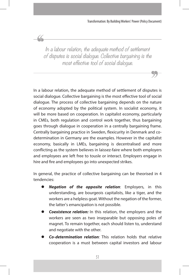In a labour relation, the adequate method of settlement of disputes is social dialogue. Collective bargaining is the most effective tool of social dialogue.

44

In a labour relation, the adequate method of settlement of disputes is social dialogue. Collective bargaining is the most effective tool of social dialogue. The process of collective bargaining depends on the nature of economy adopted by the political system. In socialist economy, it will be more based on cooperation. In capitalist economy, particularly in CMEs, both regulation and control work together, thus bargaining goes through dialogue in cooperation in a centrally bargaining frame. Centrally bargaining practice in Sweden, flexicurity in Denmark and codetermination in Germany are the examples. However in the capitalist economy, basically in LMEs, bargaining is decentralised and more conflicting as the system believes in laissez-faire where both employers and employees are left free to tousle or interact. Employers engage in hire and fire and employees go into unexpected strikes.

In general, the practice of collective bargaining can be theorised in 4 tendencies:

- *Negation of the opposite relation:* Employers, in this understanding, are bourgeois capitalists, like a tiger, and the workers are a helpless goat. Without the negation of the former, the latter's emancipation is not possible.
- **Coexistence relation:** In this relation, the employers and the workers are seen as two inseparable but opposing poles of magnet. To remain together, each should listen to, understand and negotiate with the other.
- **Co-determination relation**: This relation holds that relative cooperation is a must between capital investors and labour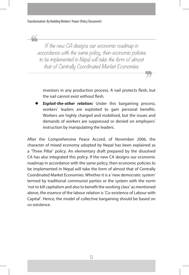If the new CA designs our economic roadmap in accordance with the same policy, then economic policies to be implemented in Nepal will take the form of almost that of Centrally Coordinated Market Economies.

investors in any production process. A nail protects flesh, but the nail cannot exist without flesh.

**Exploit-the-other relation:** Under this bargaining process, workers' leaders are exploited to gain personal benefits. Workers are highly charged and mobilised, but the issues and demands of workers are suppressed or denied on employers' instruction by manipulating the leaders.

After the Comprehensive Peace Accord, of November 2006, the character of mixed economy adopted by Nepal has been explained as a 'Three Pillar' policy. An elementary draft prepared by the dissolved CA has also integrated this policy. If the new CA designs our economic roadmap in accordance with the same policy, then economic policies to be implemented in Nepal will take the form of almost that of Centrally Coordinated Market Economies. Whether it is a 'new democratic system' termed by traditional communist parties or the system with the norm 'not to kill capitalism and also to benefit the working class' as mentioned above, the essence of the labour relation is 'Co-existence of Labour with Capital'. Hence, the model of collective bargaining should be based on co-existence.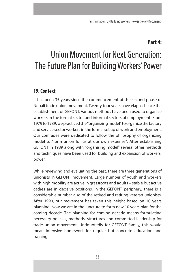# **Part 4:**

# Union Movement for Next Generation: The Future Plan for Building Workers' Power

## **19. Context**

It has been 35 years since the commencement of the second phase of Nepali trade union movement. Twenty-four years have elapsed since the establishment of GEFONT. Various methods have been used to organize workers in the formal sector and informal sectors of employment. From 1979 to 1989, we practiced the "organizing model" to organize the factory and service sector workers in the formal set up of work and employment. Our comrades were dedicated to follow the philosophy of organizing model to "form union for us at our own expense". After establishing GEFONT in 1989 along with "organising model" several other methods and techniques have been used for building and expansion of workers' power.

While reviewing and evaluating the past, there are three generations of unionists in GEFONT movement. Large number of youth and workers with high mobility are active in grassroots and adults – stable but active cadres are in decisive positions. In the GEFONT periphery, there is a considerable number also of the retired and retiring veteran unionists. After 1990, our movement has taken this height based on 10 years planning. Now we are in the juncture to form new 10 years plan for the coming decade. The planning for coming decade means formulating necessary policies, methods, structures and committed leadership for trade union movement. Undoubtedly for GEFONT family, this would mean intensive homework for regular but concrete education and training.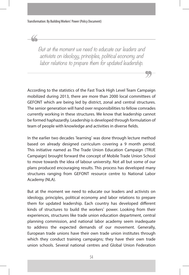But at the moment we need to educate our leaders and activists on ideology, principles, political economy and labor relations to prepare them for updated leadership.

According to the statistics of the Fast Track High Level Team Campaign mobilized during 2013, there are more than 2000 local committees of GEFONT which are being led by district, zonal and central structures. The senior generation will hand over responsibilities to fellow comrades currently working in these structures. We know that leadership cannot be formed haphazardly. Leadership is developed through formulation of team of people with knowledge and activities in diverse fields.

In the earlier two decades 'learning' was done through lecture method based on already designed curriculum covering a 9 month period. This initiative named as The Trade Union Education Campaign (TRUE Campaign) brought forward the concept of Mobile Trade Union School to move towards the idea of labour university. Not all but some of our plans produced encouraging results. This process has developed many structures ranging from GEFONT resource centre to National Labor Academy (NLA).

But at the moment we need to educate our leaders and activists on ideology, principles, political economy and labor relations to prepare them for updated leadership. Each country has developed different kinds of structures to build the workers' power. Looking from their experiences, structures like trade union education department, central planning commission, and national labor academy seem inadequate to address the expected demands of our movement. Generally, European trade unions have their own trade union institutes through which they conduct training campaigns; they have their own trade union schools. Several national centres and Global Union Federation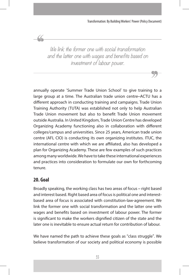We link the former one with social transformation and the latter one with wages and benefits based on investment of labour power.

annually operate 'Summer Trade Union School' to give training to a large group at a time. The Australian trade union centre–ACTU has a different approach in conducting training and campaigns. Trade Union Training Authority (TUTA) was established not only to help Australian Trade Union movement but also to benefit Trade Union movement outside Australia. In United Kingdom, Trade Union Centre has developed Organizing Academy functioning also in collaboration with different colleges/campus and universities. Since 25 years, American trade union centre (AFL CIO) is conducting its own organizing institutes. ITUC, the international centre with which we are affiliated, also has developed a plan for Organizing Academy. These are few examples of such practices among many worldwide. We have to take these international experiences and practices into consideration to formulate our own for forthcoming tenure.

# **20. Goal**

 $\alpha$ 

Broadly speaking, the working class has two areas of focus – right based and interest based. Right based area of focus is political one and interestbased area of focus is associated with constitution-law-agreement. We link the former one with social transformation and the latter one with wages and benefits based on investment of labour power. The former is significant to make the workers dignified citizen of the state and the later one is inevitable to ensure actual return for contribution of labour.

We have named the path to achieve these goals as "class struggle". We believe transformation of our society and political economy is possible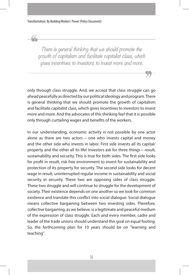There is general thinking that we should promote the growth of capitalism and facilitate capitalist class, which gives incentives to investors to invest more and more.

only through class struggle. And, we accept that class struggle can go ahead peacefully as directed by our political ideology and program. There is general thinking that we should promote the growth of capitalism and facilitate capitalist class, which gives incentives to investors to invest more and more. And the advocates of this thinking feel that it is possible only through curtailing wages and benefits of the workers.

In our understanding, economic activity is not possible by one actor alone as there are two actors – one who invests capital and money and the other side who invests in labor. First side invests all its capital/ property and the other all its life! Investors ask for three things – result, sustainability and security. This is true for both sides. The first side looks for profit in result, risk free environment to invest for sustainability and protection of its property for security. The second side looks for decent wage in result, uninterrupted regular income in sustainability and social security in security. These two are opposing sides of class struggle. These two struggle and will continue to struggle for the development of society. Their existence depends on one another so we look for common existence and translate this conflict into social dialogue. Social dialogue means collective bargaining between two investing sides. Therefore, collective bargaining, as we believe, is a legitimate and peaceful medium of the expression of class struggle. Each and every member, cadre and leader of the trade unions should understand this goal on equal footing. So, the forthcoming plan for 10 years should be on "learning and teaching".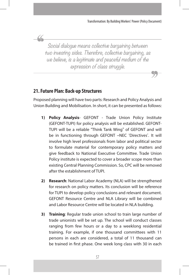Social dialogue means collective bargaining between two investing sides. Therefore, collective bargaining, as we believe, is a legitimate and peaceful medium of the expression of class struggle.

# **21. Future Plan: Back-up Structures**

44

Proposed planning will have two parts: Research and Policy Analysis and Union Building and Mobilisation. In short, it can be presented as follows:

- **1) Policy Analysis** GEFONT Trade Union Policy Institute (GEFONT-TUPI) for policy analysis will be established. GEFONT-TUPI will be a reliable "Think Tank Wing" of GEFONT and will be in functioning through GEFONT –NEC 'Directives'. It will involve high level professionals from labor and political sector to formulate material for contemporary policy matters and give feedback to National Executive Committee. Trade Union Policy institute is expected to cover a broader scope more than existing Central Planning Commission. So, CPC will be removed after the establishment of TUPI.
- **2) Research**: National Labor Academy (NLA) will be strengthened for research on policy matters. Its conclusion will be reference for TUPI to develop policy conclusions and relevant document. GEFONT Resource Centre and NLA Library will be combined and Labor Resource Centre will be located in NLA building.
- **3) Training**: Regular trade union school to train large number of trade unionists will be set up. The school will conduct classes ranging from few hours or a day to a weeklong residential training. For example, if one thousand committees with 11 persons in each are considered, a total of 11 thousand can be trained in first phase. One week long class with 30 in each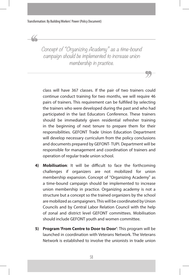<u>U</u>

Concept of "Organizing Academy" as a time-bound campaign should be implemented to increase union membership in practice.

class will have 367 classes. If the pair of two trainers could continue conduct training for two months, we will require 46 pairs of trainers. This requirement can be fulfilled by selecting the trainers who were developed during the past and who had participated in the last Educators Conference. These trainers should be immediately given residential refresher training in the beginning of next tenure to prepare them for their responsibilities. GEFONT Trade Union Education Department will develop necessary curriculum from the policy conclusions and documents prepared by GEFONT- TUPI. Department will be responsible for management and coordination of trainers and operation of regular trade union school.

- **4) Mobilisation**: It will be difficult to face the forthcoming challenges if organizers are not mobilized for union membership expansion. Concept of "Organizing Academy" as a time-bound campaign should be implemented to increase union membership in practice. Organizing academy is not a structure but a concept so the trained organizers by the school are mobilized as campaigners. This will be coordinated by Union Councils and by Central Labor Relation Council with the help of zonal and district level GEFONT committees. Mobilisation should include GEFONT youth and women committee.
- **5) Program 'From Centre to Door to Door'**: This program will be launched in coordination with Veterans Network. The Veterans Network is established to involve the unionists in trade union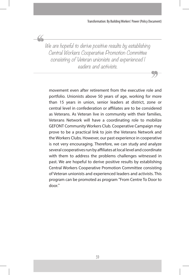We are hopeful to derive positive results by establishing Central Workers Cooperative Promotion Committee consisting of Veteran unionists and experienced l eaders and activists.

movement even after retirement from the executive role and portfolio. Unionists above 50 years of age, working for more than 15 years in union, senior leaders at district, zone or central level in confederation or affiliates are to be considered as Veterans. As Veteran live in community with their families, Veterans Network will have a coordinating role to mobilize GEFONT Community Workers Club. Cooperative Campaign may prove to be a practical link to join the Veterans Network and the Workers Clubs. However, our past experience in cooperative is not very encouraging. Therefore, we can study and analyze several cooperatives run by affiliates at local level and coordinate with them to address the problems challenges witnessed in past. We are hopeful to derive positive results by establishing Central Workers Cooperative Promotion Committee consisting of Veteran unionists and experienced leaders and activists. This program can be promoted as program "From Centre To Door to door."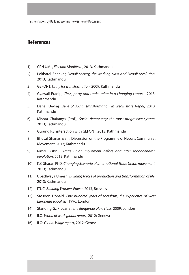### **References**

- 1) CPN UML, *Election Manifesto*, 2013, Kathmandu
- 2) Pokharel Shankar, *Nepali society, the working class and Nepali revolution*, 2013; Kathmandu
- 3) GEFONT, *Unity for transformation*, 2009; Kathmandu
- 4) Gyawali Pradip; *Class, party and trade union in a changing context*; 2013; Kathmandu
- 5) Dahal Devraj, *Issue of social transformation in weak state Nepal*, 2010; Kathmandu
- 6) Mishra Chaitanya (Prof), *Social democracy: the most progressive system*, 2013; Kathmandu
- 7) Gurung P.S, interaction with GEFONT, 2013; Kathmandu
- 8) Bhusal Ghanashyam, Discussion on the Programme of Nepal's Communist Movement, 2013; Kathmandu
- 9) Rimal Bishnu, *Trade union movement before and after rhododendron revolution*, 2013; Kathmandu
- 10) K.C Sharan PhD, *Changing Scenario of International Trade Union movement*, 2013; Kathmandu
- 11) Upadhyaya Umesh, *Building forces of production and transformation of life*, 2013; Kathmandu
- 12) ITUC, *Building Workers Power*, 2013, Brussels
- 13) Sassoon Donald, *One hundred years of socialism, the experience of west European socialists*, 1996; London
- 14) Standing G., Precariat, *the dangerous New class*, 2009; London
- 15) ILO: *World of work global report*, 2012; Geneva
- 16) ILO: *Global Wage report*, 2012; Geneva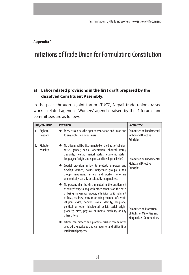#### **Appendix 1**

# Initiations of Trade Union for Formulating Constitution

#### **a) Labor related provisions in the first draft prepared by the dissolved Constituent Assembly:**

In the past, through a joint forum JTUCC, Nepali trade unions raised worker-related agendas. Workers' agendas raised by thes4 forums and committees are as follows:

| Subject/Issue              | <b>Provision</b>                                                                                                                                                                                                                                                                                                                                                                                                                                                                                                                                                          | Committee                                                                                 |
|----------------------------|---------------------------------------------------------------------------------------------------------------------------------------------------------------------------------------------------------------------------------------------------------------------------------------------------------------------------------------------------------------------------------------------------------------------------------------------------------------------------------------------------------------------------------------------------------------------------|-------------------------------------------------------------------------------------------|
| 1. Right to<br>freedom     | Every citizen has the right to association and union and<br>to any profession or business                                                                                                                                                                                                                                                                                                                                                                                                                                                                                 | Committee on Fundamental<br><b>Rights and Directive</b><br>Principles                     |
| Right to<br>2.<br>equality | No citizen shall be discriminated on the basis of religion,<br>caste, gender, sexual orientation, physical status,<br>disability, health, marital status, economic status,<br>language of origin and region, and ideological belief.<br>Special provision in law to protect, empower and<br>develop women, dalits, indigenous groups, ethnic<br>groups, madhesis, farmers and workers who are<br>economically, socially or culturally marginalized.                                                                                                                       | Committee on Fundamental<br><b>Rights and Directive</b><br>Principles                     |
|                            | No persons shall be discriminated in the entitlement<br>of salary/ wage along with other benefits on the basis<br>of being indigenous groups, ethnicity, dalit, habitant<br>of Terai, madhesi, muslim or being member of certain<br>religion, caste, gender, sexual identity, language,<br>political or other ideological belief, social origin,<br>property, birth, physical or mental disability or any<br>other criteria<br>Citizen can protect and promote his/her community's<br>arts, skill, knowledge and can register and utilize it as<br>intellectual property. | Committee on Protection<br>of Rights of Minorities and<br><b>Marginalized Communities</b> |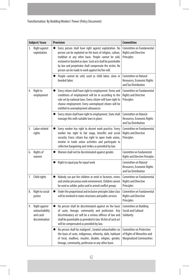| Subject/Issue |                                                                | <b>Provision</b>                                                                                                                                                                                                                                                                                                                                                      | <b>Committee</b>                                                                          |
|---------------|----------------------------------------------------------------|-----------------------------------------------------------------------------------------------------------------------------------------------------------------------------------------------------------------------------------------------------------------------------------------------------------------------------------------------------------------------|-------------------------------------------------------------------------------------------|
| 3.            | Right against<br>exploitation                                  | Every person shall have right against exploitation. No<br>$\bullet$<br>person can be exploited on the basis of religion, culture,<br>tradition or any other basis. People cannot be sold,<br>enslaved or bonded as slave. Such acts shall be punishable<br>by law and perpetrator shall compensate the victim. No<br>person can be made to work against his/her will. | Committee on Fundamental<br><b>Rights and Directive</b><br>Principles                     |
|               |                                                                | People cannot be sold, used as child labor, slave or<br>bonded labor.                                                                                                                                                                                                                                                                                                 | Committee on Natural<br>Resources, Economic Rights<br>and Tax Distribution                |
| 4.            | Right to<br>employment                                         | Every citizen shall have right to employment. Terms and<br>$\bullet$<br>conditions of employment will be in according to the<br>rule set by national laws. Every citizen will have right to<br>choose employment. Every unemployed citizen will be<br>entitled to unemployment allowances                                                                             | Committee on Fundamental<br><b>Rights and Directive</b><br>Principles                     |
|               |                                                                | Every citizen shall have right to employment. State shall<br>manage this with suitable laws in place.                                                                                                                                                                                                                                                                 | Committee on Natural<br>Resources, Economic Rights<br>and Tax Distribution                |
| 5.            | Labor related<br>rights                                        | Every worker has right to decent work practice. Every<br>$\bullet$<br>worker has right to fair wage, benefits and social<br>security. Every citizen has right to open trade union,<br>involve in trade union activities and participate in<br>collective bargaining and strikes as provided by law.                                                                   | Committee on Fundamental<br><b>Rights and Directive</b><br>Principles                     |
| 6.            | Rights of<br>women                                             | Women shall not be discriminated against gender.<br>$\bullet$                                                                                                                                                                                                                                                                                                         | Committee on Fundamental<br><b>Rights and Directive Principles</b>                        |
|               |                                                                | Right to equal pay for equal work<br>$\bullet$                                                                                                                                                                                                                                                                                                                        | <b>Committee on Natural</b><br>Resources, Economic Rights<br>and Tax Distribution         |
| 7.            | Child rights                                                   | Nobody can put the children at work in factories, mines<br>$\bullet$<br>and similar precarious work environment. Children cannot<br>be used as solider, police and in armed conflict groups                                                                                                                                                                           | Committee on Fundamental<br><b>Rights and Directive</b><br>Principles                     |
| 8.            | Right to social<br>justice                                     | Under the proportional and inclusive principles labor class<br>$\bullet$<br>will be involved in states structures and public services                                                                                                                                                                                                                                 | Committee on Fundamental<br><b>Rights and Directive</b><br>Principles                     |
| 9.            | Right against<br>untouchability<br>and caste<br>discrimination | $\bullet$<br>No person shall be discriminated against on the basis<br>of caste, lineage, community and profession. Any<br>discriminatory act will be a serious offence of law and<br>shall be punishable as provided in law. Victim of such act<br>will be compensated as provided by law.                                                                            | Committee on Building<br><b>Social and Cultural</b><br>Solidarity                         |
|               |                                                                | No person shall be maligned, treated untouchables on<br>$\bullet$<br>the basis of caste, indigenous, ethnicity, dalit, habitant<br>of terai, madhesi, muslim, disable, religion, gender,<br>lineage, community, profession or any other basis.                                                                                                                        | Committee on Protection<br>of Rights of Minorities and<br><b>Marginalized Communities</b> |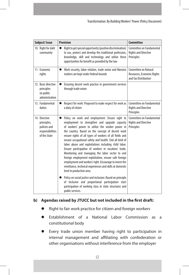| Subject/Issue                                                                    | <b>Provision</b>                                                                                                                                                                                                                                                                                                                                                                                                                                                                                                                                                                                                                                                                                                                                                                                                                                                                                           | <b>Committee</b>                                                           |
|----------------------------------------------------------------------------------|------------------------------------------------------------------------------------------------------------------------------------------------------------------------------------------------------------------------------------------------------------------------------------------------------------------------------------------------------------------------------------------------------------------------------------------------------------------------------------------------------------------------------------------------------------------------------------------------------------------------------------------------------------------------------------------------------------------------------------------------------------------------------------------------------------------------------------------------------------------------------------------------------------|----------------------------------------------------------------------------|
| 10. Right for dalit<br>community                                                 | Right to get special opportunity (positive discrimination)<br>to use, protect and develop the traditional profession,<br>knowledge, skill and technology and utilize these<br>opportunities for benefit as provided by the law                                                                                                                                                                                                                                                                                                                                                                                                                                                                                                                                                                                                                                                                             | Committee on Fundamental<br><b>Rights and Directive</b><br>Principles      |
| 11. Economic<br>rights                                                           | Work security, labor relation, trade union and likewise<br>$\bullet$<br>matters are kept under federal bounds                                                                                                                                                                                                                                                                                                                                                                                                                                                                                                                                                                                                                                                                                                                                                                                              | Committee on Natural<br>Resources, Economic Rights<br>and Tax Distribution |
| 12. Basic directive<br>principles<br>on public<br>administration                 | Ensuring decent work practice in government services<br>through trade union                                                                                                                                                                                                                                                                                                                                                                                                                                                                                                                                                                                                                                                                                                                                                                                                                                |                                                                            |
| 13. Fundamental<br>duties                                                        | Respect for work: Proposed to make respect for work as<br>a duty of citizen                                                                                                                                                                                                                                                                                                                                                                                                                                                                                                                                                                                                                                                                                                                                                                                                                                | Committee on Fundamental<br><b>Rights and Directive</b><br>Principles      |
| 14. Directive<br>principles,<br>policies and<br>responsibilities<br>of the State | Policy on work and employment: Ensure right to<br>employment to strengthen and upgrade capacity<br>of workers' power to utilize the worker power in<br>the country. Based on the concept of decent work<br>ensure rights of all types of workers of all fields and<br>ensure occupational safety and health. End all kind of<br>labor abuse and exploitations including child labor.<br>Ensure participation of workers in vocation/ trade.<br>Monitoring and managing the labor sector to end<br>foreign employment exploitation, ensure safe foreign<br>employment and workers' right. Encourage to invest the<br>remittance, technical experiences and skills at domestic<br>level in production area.<br>Policy on social justice and inclusion: Based on principle<br>of Inclusive and proportional participation start<br>participation of working class in state structures and<br>public services. | Committee on Fundamental<br><b>Rights and Directive</b><br>Principles      |

## **b) Agendas raised by JTUCC but not included in the first draft:**

- Right to fair work practice for citizen and foreign workers
- z Establishment of a National Labor Commission as a constitutional body
- Every trade union member having right to participation in internal management and affiliating with confederation or other organisations without interference from the employer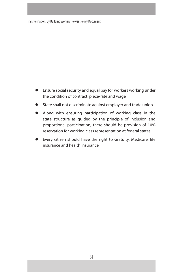Transformation: By Building Workers' Power (Policy Document)

- **Ensure social security and equal pay for workers working under** the condition of contract, piece-rate and wage
- **•** State shall not discriminate against employer and trade union
- Along with ensuring participation of working class in the state structure as guided by the principle of inclusion and proportional participation, there should be provision of 10% reservation for working class representation at federal states
- Every citizen should have the right to Gratuity, Medicare, life insurance and health insurance